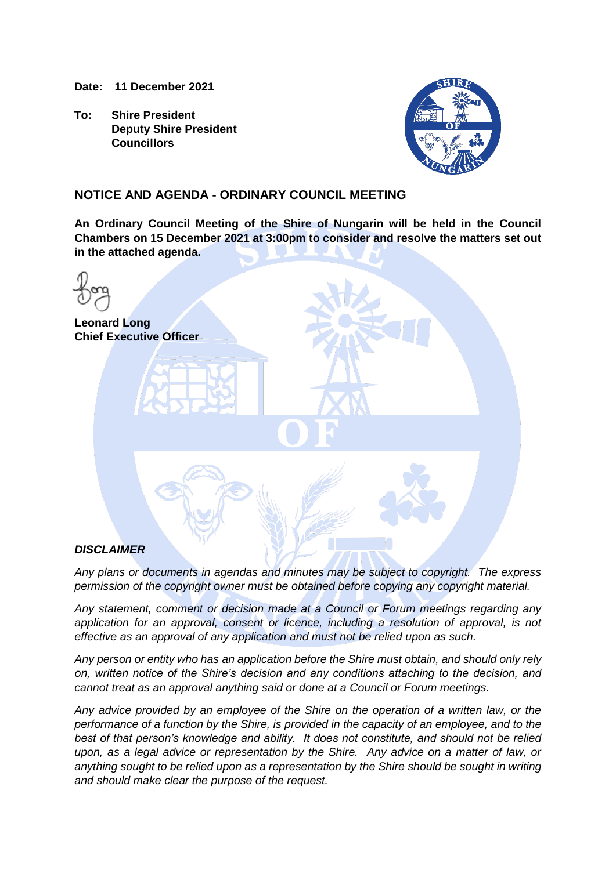**Date: 11 December 2021**

**To: Shire President Deputy Shire President Councillors**



# **NOTICE AND AGENDA - ORDINARY COUNCIL MEETING**

**An Ordinary Council Meeting of the Shire of Nungarin will be held in the Council Chambers on 15 December 2021 at 3:00pm to consider and resolve the matters set out in the attached agenda.**

| <b>Leonard Long</b> | <b>Chief Executive Officer</b> |           |  |
|---------------------|--------------------------------|-----------|--|
|                     |                                | $\bullet$ |  |
|                     |                                |           |  |
| DICCI               |                                |           |  |

# *DISCLAIMER*

*Any plans or documents in agendas and minutes may be subject to copyright. The express permission of the copyright owner must be obtained before copying any copyright material.*

*Any statement, comment or decision made at a Council or Forum meetings regarding any application for an approval, consent or licence, including a resolution of approval, is not effective as an approval of any application and must not be relied upon as such.*

*Any person or entity who has an application before the Shire must obtain, and should only rely on, written notice of the Shire's decision and any conditions attaching to the decision, and cannot treat as an approval anything said or done at a Council or Forum meetings.*

*Any advice provided by an employee of the Shire on the operation of a written law, or the performance of a function by the Shire, is provided in the capacity of an employee, and to the best of that person's knowledge and ability. It does not constitute, and should not be relied upon, as a legal advice or representation by the Shire. Any advice on a matter of law, or anything sought to be relied upon as a representation by the Shire should be sought in writing and should make clear the purpose of the request.*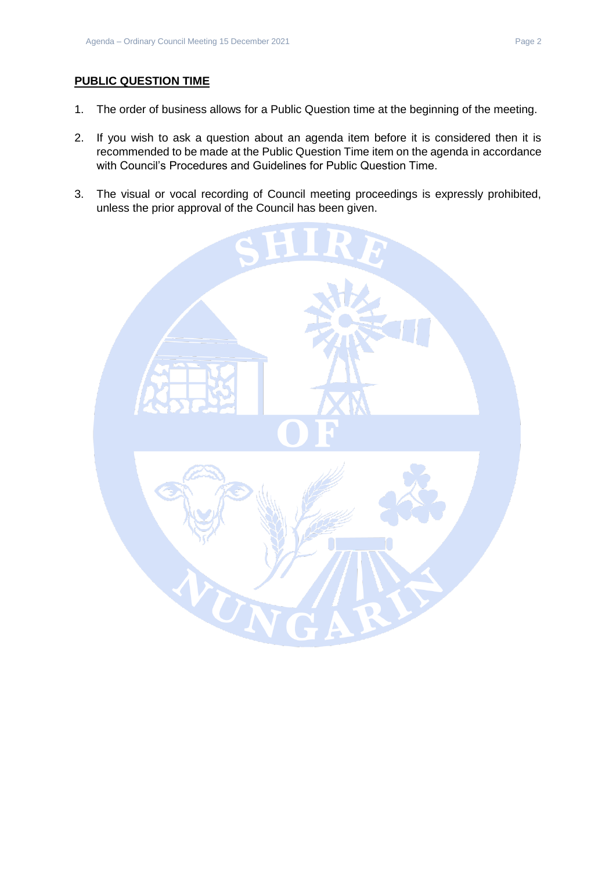# **PUBLIC QUESTION TIME**

- 1. The order of business allows for a Public Question time at the beginning of the meeting.
- 2. If you wish to ask a question about an agenda item before it is considered then it is recommended to be made at the Public Question Time item on the agenda in accordance with Council's Procedures and Guidelines for Public Question Time.
- 3. The visual or vocal recording of Council meeting proceedings is expressly prohibited, unless the prior approval of the Council has been given.

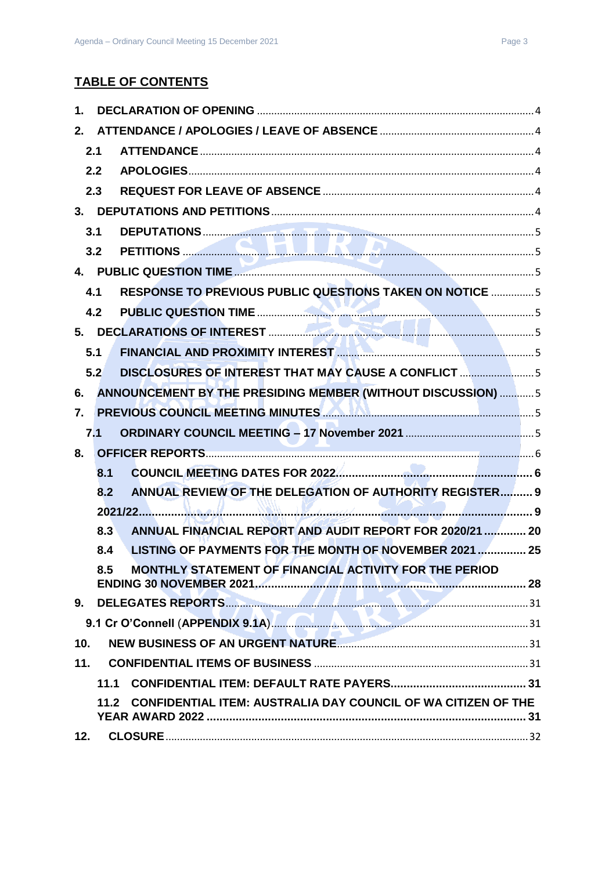# **TABLE OF CONTENTS**

| 1.             |      |                                                                          |  |
|----------------|------|--------------------------------------------------------------------------|--|
| 2.             |      |                                                                          |  |
|                | 2.1  |                                                                          |  |
|                | 2.2  |                                                                          |  |
|                | 2.3  |                                                                          |  |
|                |      |                                                                          |  |
|                | 3.1  |                                                                          |  |
|                | 3.2  | <b>PETITIONS</b> 2004 2014 2015                                          |  |
|                |      |                                                                          |  |
|                | 4.1  | <b>RESPONSE TO PREVIOUS PUBLIC QUESTIONS TAKEN ON NOTICE 5</b>           |  |
|                | 4.2  |                                                                          |  |
|                |      |                                                                          |  |
|                | 5.1  |                                                                          |  |
|                | 5.2  | DISCLOSURES OF INTEREST THAT MAY CAUSE A CONFLICT 5                      |  |
| 6.             |      | ANNOUNCEMENT BY THE PRESIDING MEMBER (WITHOUT DISCUSSION)  5             |  |
| 7 <sub>1</sub> |      | PREVIOUS COUNCIL MEETING MINUTES <b>AND ALL AND CONSTRUCTS</b> 5         |  |
|                | 7.1  |                                                                          |  |
| 8.             |      |                                                                          |  |
|                | 8.1  |                                                                          |  |
|                | 8.2  | ANNUAL REVIEW OF THE DELEGATION OF AUTHORITY REGISTER 9                  |  |
|                |      |                                                                          |  |
|                | 8.3  | ANNUAL FINANCIAL REPORT AND AUDIT REPORT FOR 2020/21  20                 |  |
|                | 8.4  | LISTING OF PAYMENTS FOR THE MONTH OF NOVEMBER 2021  25                   |  |
|                | 8.5  | MONTHLY STATEMENT OF FINANCIAL ACTIVITY FOR THE PERIOD                   |  |
|                |      |                                                                          |  |
| 9.             |      |                                                                          |  |
|                |      | 9.1 Cr O'Connell (APPENDIX 9.1A) <b>And All Connection Connection</b> 31 |  |
| 10.            |      |                                                                          |  |
| 11.            |      |                                                                          |  |
|                | 11.1 |                                                                          |  |
|                | 11.2 | <b>CONFIDENTIAL ITEM: AUSTRALIA DAY COUNCIL OF WA CITIZEN OF THE</b>     |  |
| 12.            |      |                                                                          |  |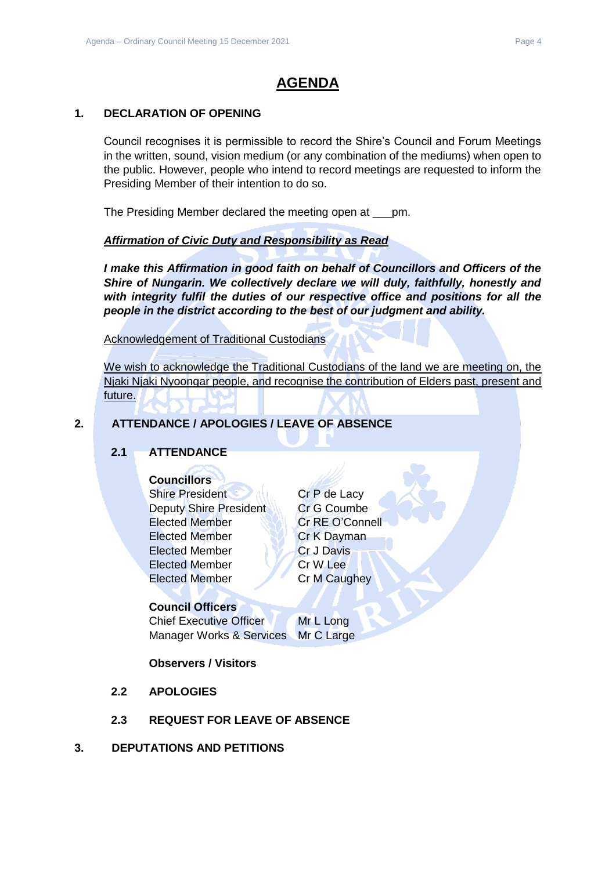# **AGENDA**

# <span id="page-3-0"></span>**1. DECLARATION OF OPENING**

Council recognises it is permissible to record the Shire's Council and Forum Meetings in the written, sound, vision medium (or any combination of the mediums) when open to the public. However, people who intend to record meetings are requested to inform the Presiding Member of their intention to do so.

The Presiding Member declared the meeting open at \_\_\_pm.

# *Affirmation of Civic Duty and Responsibility as Read*

*I make this Affirmation in good faith on behalf of Councillors and Officers of the Shire of Nungarin. We collectively declare we will duly, faithfully, honestly and with integrity fulfil the duties of our respective office and positions for all the people in the district according to the best of our judgment and ability.*

Acknowledgement of Traditional Custodians

We wish to acknowledge the Traditional Custodians of the land we are meeting on, the Njaki Njaki Nyoongar people, and recognise the contribution of Elders past, present and future.

# <span id="page-3-2"></span><span id="page-3-1"></span>**2. ATTENDANCE / APOLOGIES / LEAVE OF ABSENCE**

# **2.1 ATTENDANCE**

# **Councillors**

Shire President Cr P de Lacy Deputy Shire President Cr G Coumbe Elected Member Cr RE O'Connell Elected Member **Cr K Dayman** Elected Member Cr J Davis Elected Member Cr W Lee Elected Member Cr M Caughey

# **Council Officers**

Chief Executive Officer Mr L Long Manager Works & Services Mr C Large

# **Observers / Visitors**

- <span id="page-3-3"></span>**2.2 APOLOGIES**
- **2.3 REQUEST FOR LEAVE OF ABSENCE**
- <span id="page-3-5"></span><span id="page-3-4"></span>**3. DEPUTATIONS AND PETITIONS**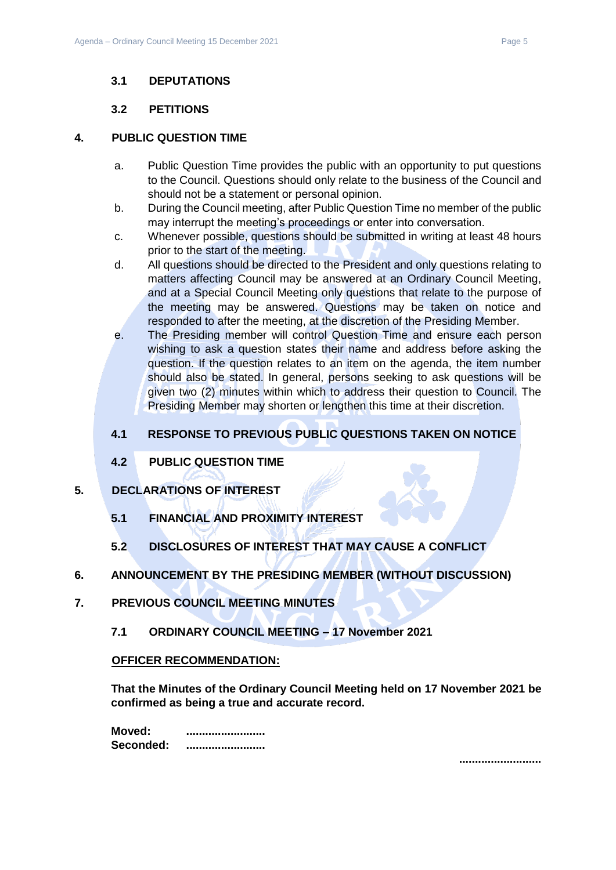# <span id="page-4-0"></span>**3.1 DEPUTATIONS**

## **3.2 PETITIONS**

#### <span id="page-4-2"></span><span id="page-4-1"></span>**4. PUBLIC QUESTION TIME**

- a. Public Question Time provides the public with an opportunity to put questions to the Council. Questions should only relate to the business of the Council and should not be a statement or personal opinion.
- b. During the Council meeting, after Public Question Time no member of the public may interrupt the meeting's proceedings or enter into conversation.
- c. Whenever possible, questions should be submitted in writing at least 48 hours prior to the start of the meeting.
- d. All questions should be directed to the President and only questions relating to matters affecting Council may be answered at an Ordinary Council Meeting, and at a Special Council Meeting only questions that relate to the purpose of the meeting may be answered. Questions may be taken on notice and responded to after the meeting, at the discretion of the Presiding Member.
- e. The Presiding member will control Question Time and ensure each person wishing to ask a question states their name and address before asking the question. If the question relates to an item on the agenda, the item number should also be stated. In general, persons seeking to ask questions will be given two (2) minutes within which to address their question to Council. The Presiding Member may shorten or lengthen this time at their discretion.

# <span id="page-4-3"></span>**4.1 RESPONSE TO PREVIOUS PUBLIC QUESTIONS TAKEN ON NOTICE**

**4.2 PUBLIC QUESTION TIME**

# <span id="page-4-6"></span><span id="page-4-5"></span><span id="page-4-4"></span>**5. DECLARATIONS OF INTEREST**

- **5.1 FINANCIAL AND PROXIMITY INTEREST**
- **5.2 DISCLOSURES OF INTEREST THAT MAY CAUSE A CONFLICT**
- <span id="page-4-8"></span><span id="page-4-7"></span>**6. ANNOUNCEMENT BY THE PRESIDING MEMBER (WITHOUT DISCUSSION)**
- <span id="page-4-10"></span><span id="page-4-9"></span>**7. PREVIOUS COUNCIL MEETING MINUTES**
	- **7.1 ORDINARY COUNCIL MEETING – 17 November 2021**

#### **OFFICER RECOMMENDATION:**

**That the Minutes of the Ordinary Council Meeting held on 17 November 2021 be confirmed as being a true and accurate record.**

**Moved: ......................... Seconded: .........................**

**..........................**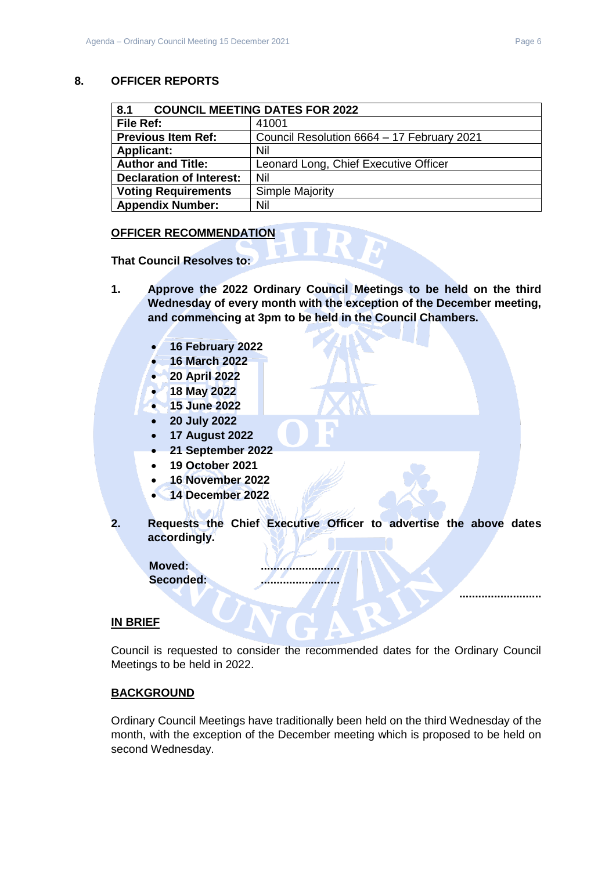## <span id="page-5-0"></span>**8. OFFICER REPORTS**

<span id="page-5-1"></span>

| 8.1<br><b>COUNCIL MEETING DATES FOR 2022</b> |                                            |  |
|----------------------------------------------|--------------------------------------------|--|
| File Ref:                                    | 41001                                      |  |
| <b>Previous Item Ref:</b>                    | Council Resolution 6664 - 17 February 2021 |  |
| <b>Applicant:</b>                            | Nil                                        |  |
| <b>Author and Title:</b>                     | Leonard Long, Chief Executive Officer      |  |
| <b>Declaration of Interest:</b>              | Nil                                        |  |
| <b>Voting Requirements</b>                   | Simple Majority                            |  |
| <b>Appendix Number:</b>                      | Nil                                        |  |

#### **OFFICER RECOMMENDATION**

**That Council Resolves to:**

- **1. Approve the 2022 Ordinary Council Meetings to be held on the third Wednesday of every month with the exception of the December meeting, and commencing at 3pm to be held in the Council Chambers.**
	- **16 February 2022**
	- **16 March 2022**
	- **20 April 2022**
	- **18 May 2022**
	- **15 June 2022**
	- **20 July 2022**
	- **17 August 2022**
	- **21 September 2022**
	- **19 October 2021**
	- **16 November 2022**
	- **14 December 2022**
- **2. Requests the Chief Executive Officer to advertise the above dates accordingly.**

**Moved: ......................... Seconded: .........................**

#### **IN BRIEF**

Council is requested to consider the recommended dates for the Ordinary Council Meetings to be held in 2022.

# **BACKGROUND**

Ordinary Council Meetings have traditionally been held on the third Wednesday of the month, with the exception of the December meeting which is proposed to be held on second Wednesday.

**..........................**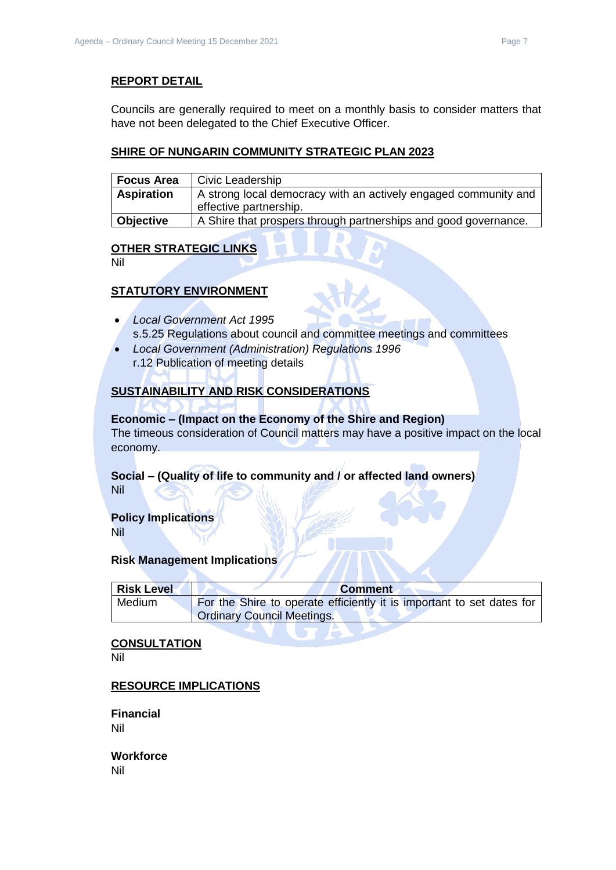# **REPORT DETAIL**

Councils are generally required to meet on a monthly basis to consider matters that have not been delegated to the Chief Executive Officer.

## **SHIRE OF NUNGARIN COMMUNITY STRATEGIC PLAN 2023**

| <b>Focus Area</b> | Civic Leadership                                                |  |
|-------------------|-----------------------------------------------------------------|--|
| <b>Aspiration</b> | A strong local democracy with an actively engaged community and |  |
|                   | effective partnership.                                          |  |
| Objective         | A Shire that prospers through partnerships and good governance. |  |

# **OTHER STRATEGIC LINKS**

Nil

# **STATUTORY ENVIRONMENT**

- *Local Government Act 1995* s.5.25 Regulations about council and committee meetings and committees
- *Local Government (Administration) Regulations 1996* r.12 Publication of meeting details

# **SUSTAINABILITY AND RISK CONSIDERATIONS**

## **Economic – (Impact on the Economy of the Shire and Region)**

The timeous consideration of Council matters may have a positive impact on the local economy.

# **Social – (Quality of life to community and / or affected land owners)**

Nil

# **Policy Implications**

Nil

# **Risk Management Implications**

| <b>Risk Level</b> | <b>Comment</b>                                                        |
|-------------------|-----------------------------------------------------------------------|
| Medium            | For the Shire to operate efficiently it is important to set dates for |
|                   | <b>Ordinary Council Meetings.</b>                                     |

TA P

#### **CONSULTATION**

Nil

# **RESOURCE IMPLICATIONS**

**Financial** Nil

**Workforce** Nil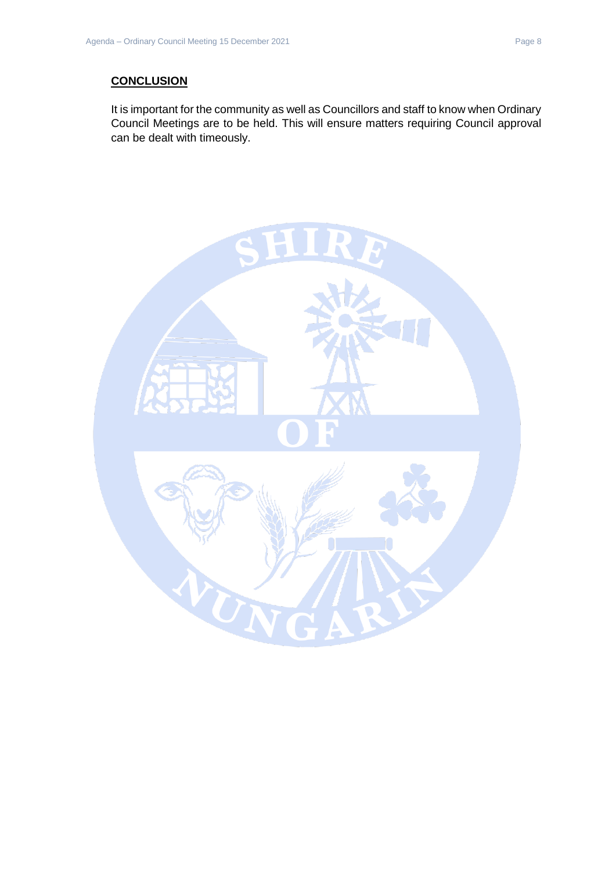# **CONCLUSION**

It is important for the community as well as Councillors and staff to know when Ordinary Council Meetings are to be held. This will ensure matters requiring Council approval can be dealt with timeously.

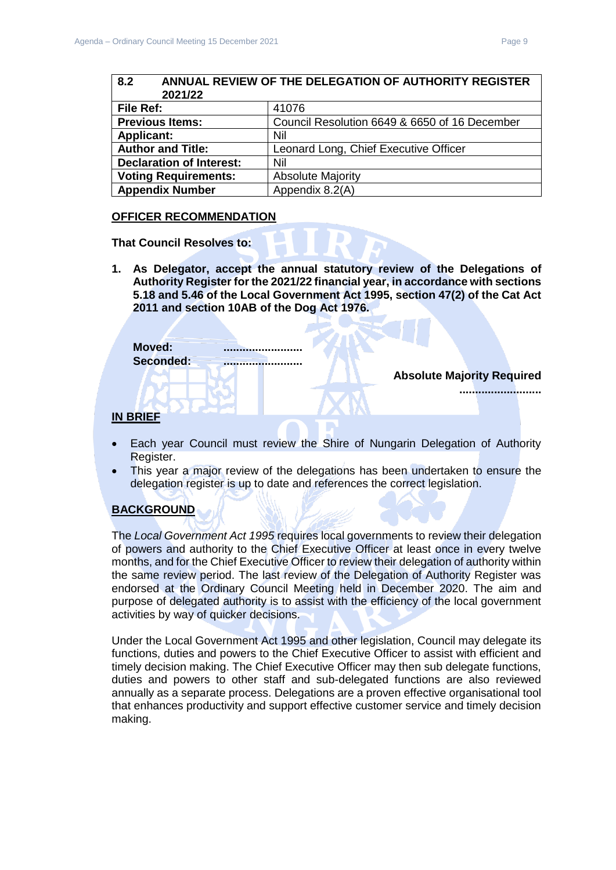<span id="page-8-1"></span><span id="page-8-0"></span>

| 8.2<br>ANNUAL REVIEW OF THE DELEGATION OF AUTHORITY REGISTER<br>2021/22 |                                               |  |
|-------------------------------------------------------------------------|-----------------------------------------------|--|
| File Ref:                                                               | 41076                                         |  |
| <b>Previous Items:</b>                                                  | Council Resolution 6649 & 6650 of 16 December |  |
| <b>Applicant:</b>                                                       | Nil                                           |  |
| <b>Author and Title:</b>                                                | Leonard Long, Chief Executive Officer         |  |
| <b>Declaration of Interest:</b>                                         | Nil                                           |  |
| <b>Voting Requirements:</b>                                             | <b>Absolute Majority</b>                      |  |
| <b>Appendix Number</b>                                                  | Appendix 8.2(A)                               |  |

#### **OFFICER RECOMMENDATION**

**That Council Resolves to:**

**1. As Delegator, accept the annual statutory review of the Delegations of Authority Register for the 2021/22 financial year, in accordance with sections 5.18 and 5.46 of the Local Government Act 1995, section 47(2) of the Cat Act 2011 and section 10AB of the Dog Act 1976.**

| Moved:    |  |
|-----------|--|
| Seconded: |  |
|           |  |

#### **Absolute Majority Required**

**..........................**

**IN BRIEF**

- Each year Council must review the Shire of Nungarin Delegation of Authority Register.
- This year a major review of the delegations has been undertaken to ensure the delegation register is up to date and references the correct legislation.

# **BACKGROUND**

The *Local Government Act 1995* requires local governments to review their delegation of powers and authority to the Chief Executive Officer at least once in every twelve months, and for the Chief Executive Officer to review their delegation of authority within the same review period. The last review of the Delegation of Authority Register was endorsed at the Ordinary Council Meeting held in December 2020. The aim and purpose of delegated authority is to assist with the efficiency of the local government activities by way of quicker decisions.

Under the Local Government Act 1995 and other legislation, Council may delegate its functions, duties and powers to the Chief Executive Officer to assist with efficient and timely decision making. The Chief Executive Officer may then sub delegate functions, duties and powers to other staff and sub-delegated functions are also reviewed annually as a separate process. Delegations are a proven effective organisational tool that enhances productivity and support effective customer service and timely decision making.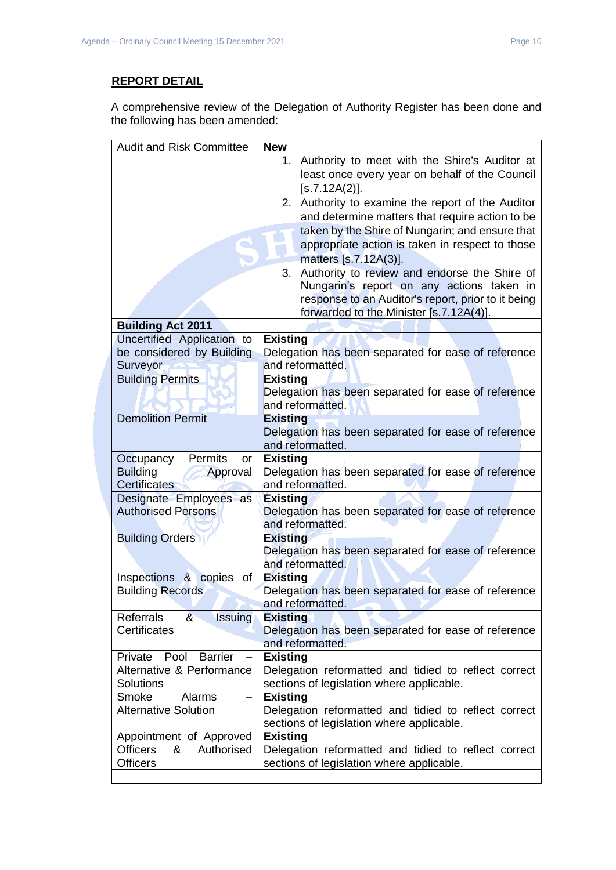# **REPORT DETAIL**

A comprehensive review of the Delegation of Authority Register has been done and the following has been amended:

| <b>Audit and Risk Committee</b>               | <b>New</b>                                                              |
|-----------------------------------------------|-------------------------------------------------------------------------|
|                                               | Authority to meet with the Shire's Auditor at<br>1.                     |
|                                               | least once every year on behalf of the Council                          |
|                                               | [s.7.12A(2)].                                                           |
|                                               |                                                                         |
|                                               | 2. Authority to examine the report of the Auditor                       |
|                                               | and determine matters that require action to be                         |
|                                               | taken by the Shire of Nungarin; and ensure that                         |
|                                               | appropriate action is taken in respect to those                         |
|                                               | matters [s.7.12A(3)].                                                   |
|                                               | Authority to review and endorse the Shire of<br>3.                      |
|                                               | Nungarin's report on any actions taken in                               |
|                                               | response to an Auditor's report, prior to it being                      |
|                                               | forwarded to the Minister [s.7.12A(4)].                                 |
| <b>Building Act 2011</b>                      |                                                                         |
| Uncertified Application to                    | <b>Existing</b>                                                         |
| be considered by Building                     | Delegation has been separated for ease of reference                     |
| Surveyor                                      | and reformatted.                                                        |
| <b>Building Permits</b>                       | <b>Existing</b>                                                         |
|                                               | Delegation has been separated for ease of reference                     |
|                                               | and reformatted.                                                        |
| <b>Demolition Permit</b>                      | <b>Existing</b>                                                         |
|                                               | Delegation has been separated for ease of reference                     |
|                                               | and reformatted.                                                        |
| Permits<br>Occupancy<br>or                    | <b>Existing</b>                                                         |
| <b>Building</b><br>Approval                   | Delegation has been separated for ease of reference                     |
| <b>Certificates</b>                           | and reformatted.                                                        |
| Designate Employees as                        | <b>Existing</b>                                                         |
| <b>Authorised Persons</b>                     | Delegation has been separated for ease of reference<br>and reformatted. |
| <b>Building Orders</b>                        | <b>Existing</b>                                                         |
|                                               | Delegation has been separated for ease of reference                     |
|                                               | and reformatted.                                                        |
| Inspections & copies<br>of                    | <b>Existing</b>                                                         |
| <b>Building Records</b>                       | Delegation has been separated for ease of reference                     |
|                                               | and reformatted.                                                        |
| 8 <sub>1</sub><br><b>Issuing</b><br>Referrals | <b>Existing</b>                                                         |
| Certificates                                  | Delegation has been separated for ease of reference                     |
|                                               | and reformatted.                                                        |
| Private<br>Pool<br><b>Barrier</b>             | <b>Existing</b>                                                         |
| Alternative & Performance                     | Delegation reformatted and tidied to reflect correct                    |
| Solutions                                     | sections of legislation where applicable.                               |
| Smoke<br>Alarms<br>$\overline{\phantom{0}}$   | <b>Existing</b>                                                         |
| <b>Alternative Solution</b>                   | Delegation reformatted and tidied to reflect correct                    |
|                                               | sections of legislation where applicable.                               |
| Appointment of Approved                       | <b>Existing</b>                                                         |
| <b>Officers</b><br>Authorised<br>&            | Delegation reformatted and tidied to reflect correct                    |
| <b>Officers</b>                               | sections of legislation where applicable.                               |
|                                               |                                                                         |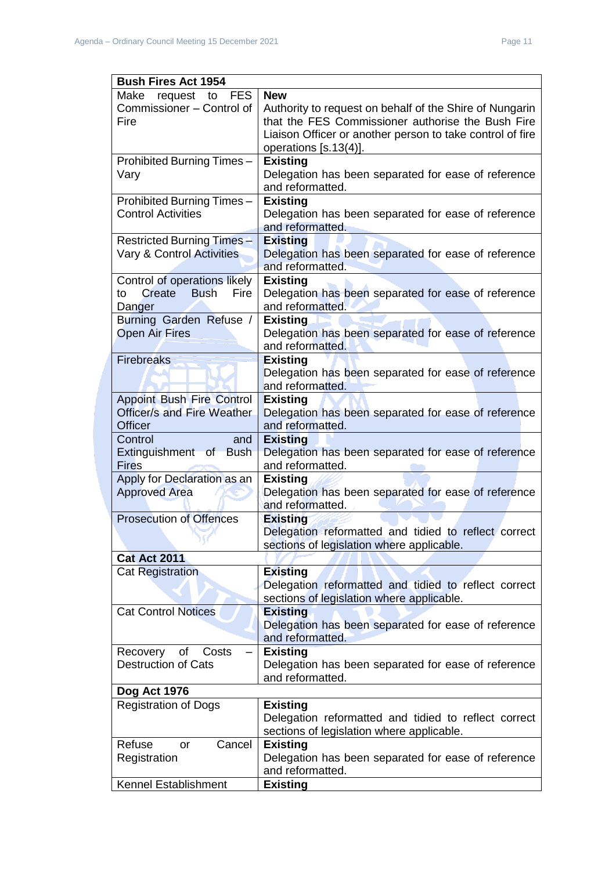| <b>Bush Fires Act 1954</b>                                       |                                                                                                                                         |  |  |
|------------------------------------------------------------------|-----------------------------------------------------------------------------------------------------------------------------------------|--|--|
| <b>FES</b><br>Make<br>request<br>to<br>Commissioner - Control of | <b>New</b><br>Authority to request on behalf of the Shire of Nungarin                                                                   |  |  |
| Fire                                                             | that the FES Commissioner authorise the Bush Fire<br>Liaison Officer or another person to take control of fire<br>operations [s.13(4)]. |  |  |
| Prohibited Burning Times-                                        | <b>Existing</b>                                                                                                                         |  |  |
| Vary                                                             | Delegation has been separated for ease of reference<br>and reformatted.                                                                 |  |  |
| Prohibited Burning Times-                                        | <b>Existing</b>                                                                                                                         |  |  |
| <b>Control Activities</b>                                        | Delegation has been separated for ease of reference<br>and reformatted.                                                                 |  |  |
| <b>Restricted Burning Times -</b>                                | <b>Existing</b>                                                                                                                         |  |  |
| Vary & Control Activities                                        | Delegation has been separated for ease of reference<br>and reformatted.                                                                 |  |  |
| Control of operations likely                                     | <b>Existing</b>                                                                                                                         |  |  |
| Create<br><b>Bush</b><br>Fire<br>to<br>Danger                    | Delegation has been separated for ease of reference<br>and reformatted.                                                                 |  |  |
| Burning Garden Refuse /                                          | <b>Existing</b>                                                                                                                         |  |  |
| <b>Open Air Fires</b>                                            | Delegation has been separated for ease of reference<br>and reformatted.                                                                 |  |  |
| <b>Firebreaks</b>                                                | <b>Existing</b>                                                                                                                         |  |  |
|                                                                  | Delegation has been separated for ease of reference<br>and reformatted.                                                                 |  |  |
| <b>Appoint Bush Fire Control</b>                                 | <b>Existing</b>                                                                                                                         |  |  |
| <b>Officer/s and Fire Weather</b>                                | Delegation has been separated for ease of reference                                                                                     |  |  |
| <b>Officer</b>                                                   | and reformatted.                                                                                                                        |  |  |
| Control<br>and                                                   | <b>Existing</b>                                                                                                                         |  |  |
| Extinguishment of Bush<br><b>Fires</b>                           | Delegation has been separated for ease of reference<br>and reformatted.                                                                 |  |  |
| Apply for Declaration as an<br><b>Approved Area</b>              | <b>Existing</b><br>Delegation has been separated for ease of reference<br>and reformatted.                                              |  |  |
| <b>Prosecution of Offences</b>                                   | <b>Existing</b>                                                                                                                         |  |  |
|                                                                  | Delegation reformatted and tidied to reflect correct<br>sections of legislation where applicable.                                       |  |  |
| <b>Cat Act 2011</b>                                              |                                                                                                                                         |  |  |
| <b>Cat Registration</b>                                          | <b>Existing</b>                                                                                                                         |  |  |
|                                                                  | Delegation reformatted and tidied to reflect correct<br>sections of legislation where applicable.                                       |  |  |
| <b>Cat Control Notices</b>                                       | <b>Existing</b>                                                                                                                         |  |  |
|                                                                  | Delegation has been separated for ease of reference<br>and reformatted.                                                                 |  |  |
| of<br>Recovery<br>Costs                                          | <b>Existing</b>                                                                                                                         |  |  |
| <b>Destruction of Cats</b>                                       | Delegation has been separated for ease of reference<br>and reformatted.                                                                 |  |  |
| Dog Act 1976                                                     |                                                                                                                                         |  |  |
| <b>Registration of Dogs</b>                                      | <b>Existing</b>                                                                                                                         |  |  |
|                                                                  | Delegation reformatted and tidied to reflect correct<br>sections of legislation where applicable.                                       |  |  |
| Refuse<br>Cancel<br>or                                           | <b>Existing</b>                                                                                                                         |  |  |
| Registration                                                     | Delegation has been separated for ease of reference<br>and reformatted.                                                                 |  |  |
| Kennel Establishment                                             | <b>Existing</b>                                                                                                                         |  |  |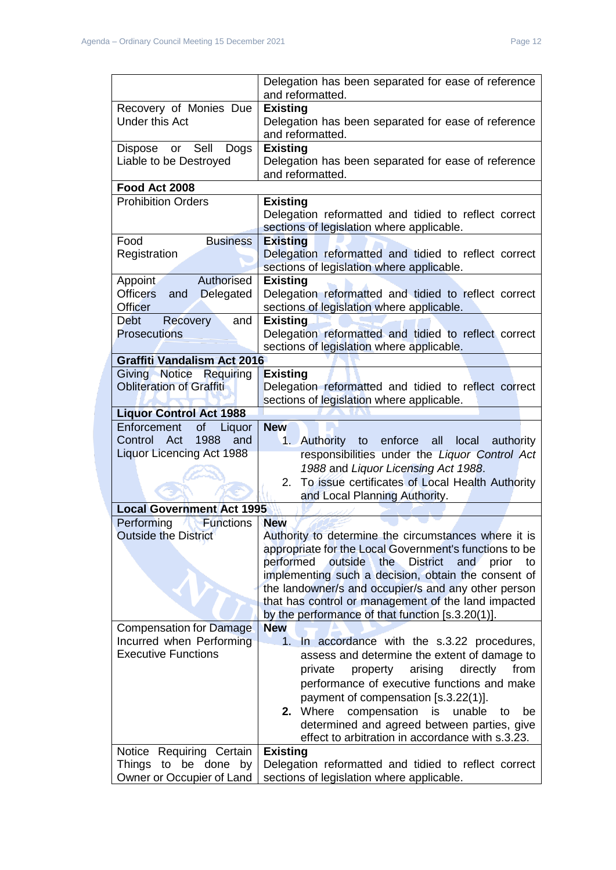|                                                      | Delegation has been separated for ease of reference<br>and reformatted.                                 |
|------------------------------------------------------|---------------------------------------------------------------------------------------------------------|
| Recovery of Monies Due                               | <b>Existing</b>                                                                                         |
| <b>Under this Act</b>                                | Delegation has been separated for ease of reference<br>and reformatted.                                 |
| Sell<br>Dispose<br>Dogs<br>or                        | <b>Existing</b>                                                                                         |
| Liable to be Destroyed                               | Delegation has been separated for ease of reference                                                     |
|                                                      | and reformatted.                                                                                        |
| Food Act 2008                                        |                                                                                                         |
| <b>Prohibition Orders</b>                            | <b>Existing</b>                                                                                         |
|                                                      | Delegation reformatted and tidied to reflect correct                                                    |
|                                                      | sections of legislation where applicable.                                                               |
| Food<br><b>Business</b>                              | <b>Existing</b>                                                                                         |
| Registration                                         | Delegation reformatted and tidied to reflect correct                                                    |
|                                                      | sections of legislation where applicable.                                                               |
| Authorised<br>Appoint                                | <b>Existing</b>                                                                                         |
| Officers and<br>Delegated                            | Delegation reformatted and tidied to reflect correct                                                    |
| <b>Officer</b>                                       | sections of legislation where applicable.                                                               |
| <b>Debt</b><br>Recovery<br>and                       | <b>Existing</b>                                                                                         |
| <b>Prosecutions</b>                                  | Delegation reformatted and tidied to reflect correct                                                    |
|                                                      | sections of legislation where applicable.                                                               |
| <b>Graffiti Vandalism Act 2016</b>                   |                                                                                                         |
| Giving Notice Requiring                              | <b>Existing</b>                                                                                         |
| <b>Obliteration of Graffiti</b>                      | Delegation reformatted and tidied to reflect correct                                                    |
|                                                      | sections of legislation where applicable.                                                               |
| <b>Liquor Control Act 1988</b>                       |                                                                                                         |
| of<br>Enforcement<br>Liquor<br>Control Act<br>1988   | <b>New</b>                                                                                              |
| and<br><b>Liquor Licencing Act 1988</b>              | 1. Authority to enforce<br>all<br>local authority                                                       |
|                                                      |                                                                                                         |
|                                                      | responsibilities under the Liquor Control Act                                                           |
|                                                      | 1988 and Liquor Licensing Act 1988.                                                                     |
|                                                      | To issue certificates of Local Health Authority<br>2.                                                   |
|                                                      | and Local Planning Authority.                                                                           |
| <b>Local Government Act 1995</b>                     |                                                                                                         |
| Performing<br><b>Functions</b>                       | <b>New</b>                                                                                              |
| <b>Outside the District</b>                          | Authority to determine the circumstances where it is                                                    |
|                                                      | appropriate for the Local Government's functions to be                                                  |
|                                                      | performed<br>outside<br>the<br><b>District</b><br>and<br>prior<br>to                                    |
|                                                      | implementing such a decision, obtain the consent of                                                     |
|                                                      | the landowner/s and occupier/s and any other person                                                     |
|                                                      | that has control or management of the land impacted<br>by the performance of that function [s.3.20(1)]. |
| <b>Compensation for Damage</b>                       | <b>New</b>                                                                                              |
| Incurred when Performing                             | In accordance with the s.3.22 procedures,<br>1.                                                         |
| <b>Executive Functions</b>                           | assess and determine the extent of damage to                                                            |
|                                                      | arising<br>directly<br>from<br>private<br>property                                                      |
|                                                      | performance of executive functions and make                                                             |
|                                                      |                                                                                                         |
|                                                      | payment of compensation [s.3.22(1)].<br>2. Where<br>compensation<br>is<br>unable<br>to<br>be            |
|                                                      | determined and agreed between parties, give                                                             |
|                                                      | effect to arbitration in accordance with s.3.23.                                                        |
| Requiring Certain<br>Notice                          | <b>Existing</b>                                                                                         |
| Things<br>to be done by<br>Owner or Occupier of Land | Delegation reformatted and tidied to reflect correct<br>sections of legislation where applicable.       |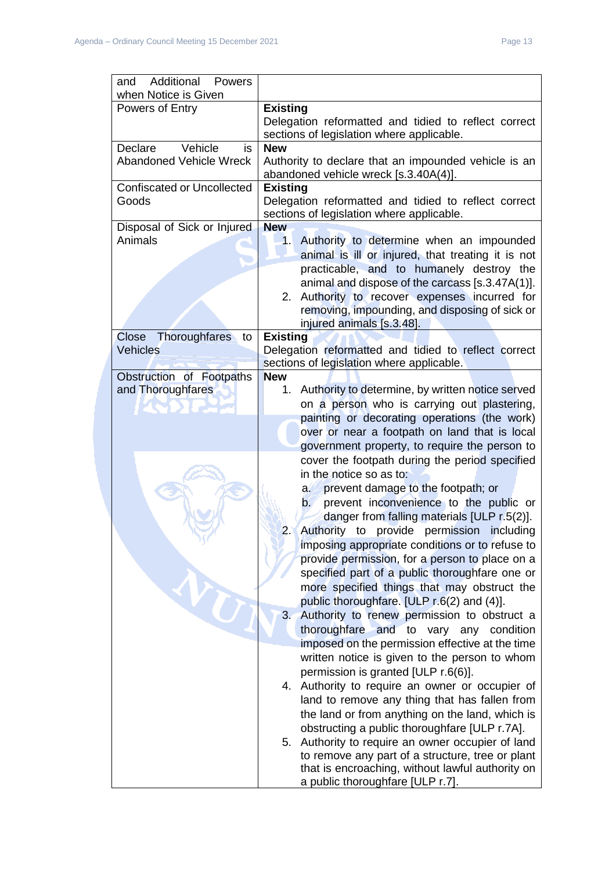| <b>Additional Powers</b><br>and   |                                                                   |
|-----------------------------------|-------------------------------------------------------------------|
| when Notice is Given              |                                                                   |
| Powers of Entry                   | <b>Existing</b>                                                   |
|                                   | Delegation reformatted and tidied to reflect correct              |
|                                   | sections of legislation where applicable.                         |
| Vehicle<br>Declare<br>is          | <b>New</b>                                                        |
| <b>Abandoned Vehicle Wreck</b>    | Authority to declare that an impounded vehicle is an              |
|                                   | abandoned vehicle wreck [s.3.40A(4)].                             |
| <b>Confiscated or Uncollected</b> | <b>Existing</b>                                                   |
| Goods                             | Delegation reformatted and tidied to reflect correct              |
|                                   | sections of legislation where applicable.                         |
| Disposal of Sick or Injured       | <b>New</b>                                                        |
| Animals                           | Authority to determine when an impounded<br>1.                    |
|                                   | animal is ill or injured, that treating it is not                 |
|                                   | practicable, and to humanely destroy the                          |
|                                   | animal and dispose of the carcass [s.3.47A(1)].                   |
|                                   | Authority to recover expenses incurred for<br>2.                  |
|                                   | removing, impounding, and disposing of sick or                    |
|                                   | injured animals [s.3.48].                                         |
| Thoroughfares<br>Close<br>to      | <b>Existing</b>                                                   |
| Vehicles                          | Delegation reformatted and tidied to reflect correct              |
|                                   | sections of legislation where applicable.                         |
| Obstruction of Footpaths          | <b>New</b>                                                        |
| and Thoroughfares                 | Authority to determine, by written notice served<br>1.            |
|                                   | on a person who is carrying out plastering,                       |
|                                   | painting or decorating operations (the work)                      |
|                                   | over or near a footpath on land that is local                     |
|                                   | government property, to require the person to                     |
|                                   | cover the footpath during the period specified                    |
|                                   | in the notice so as to:                                           |
|                                   | prevent damage to the footpath; or<br>a.                          |
|                                   | prevent inconvenience to the public or<br>$\mathsf{b}$            |
|                                   | danger from falling materials [ULP r.5(2)].                       |
|                                   | Authority to provide<br>permission<br>$\overline{2}$<br>including |
|                                   |                                                                   |
|                                   | imposing appropriate conditions or to refuse to                   |
|                                   | provide permission, for a person to place on a                    |
|                                   | specified part of a public thoroughfare one or                    |
|                                   | more specified things that may obstruct the                       |
|                                   | public thoroughfare. [ULP r.6(2) and (4)].                        |
|                                   | 3. Authority to renew permission to obstruct a                    |
|                                   | thoroughfare and to vary any condition                            |
|                                   | imposed on the permission effective at the time                   |
|                                   | written notice is given to the person to whom                     |
|                                   | permission is granted [ULP r.6(6)].                               |
|                                   | 4. Authority to require an owner or occupier of                   |
|                                   | land to remove any thing that has fallen from                     |
|                                   | the land or from anything on the land, which is                   |
|                                   | obstructing a public thoroughfare [ULP r.7A].                     |
|                                   | 5. Authority to require an owner occupier of land                 |
|                                   | to remove any part of a structure, tree or plant                  |
|                                   | that is encroaching, without lawful authority on                  |
|                                   | a public thoroughfare [ULP r.7].                                  |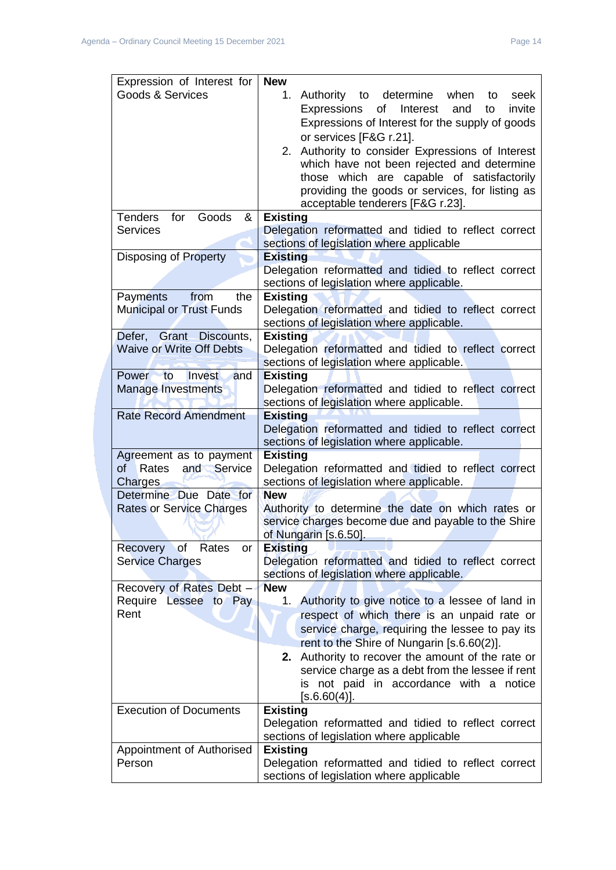| Expression of Interest for                                                                | <b>New</b>                                                                                               |
|-------------------------------------------------------------------------------------------|----------------------------------------------------------------------------------------------------------|
| Goods & Services                                                                          | determine<br>1.<br>Authority<br>when<br>to<br>seek<br>to                                                 |
|                                                                                           | of<br>Interest<br>and<br>invite<br>Expressions<br>to                                                     |
|                                                                                           | Expressions of Interest for the supply of goods                                                          |
|                                                                                           | or services [F&G r.21].                                                                                  |
|                                                                                           | Authority to consider Expressions of Interest<br>2.                                                      |
|                                                                                           | which have not been rejected and determine                                                               |
|                                                                                           | those which are capable of satisfactorily                                                                |
|                                                                                           | providing the goods or services, for listing as                                                          |
|                                                                                           | acceptable tenderers [F&G r.23].                                                                         |
| <b>Tenders</b><br>for<br>Goods<br>&<br><b>Services</b>                                    | <b>Existing</b><br>Delegation reformatted and tidied to reflect correct                                  |
|                                                                                           | sections of legislation where applicable                                                                 |
| Disposing of Property                                                                     | <b>Existing</b>                                                                                          |
|                                                                                           | Delegation reformatted and tidied to reflect correct                                                     |
|                                                                                           | sections of legislation where applicable.                                                                |
| <b>Payments</b><br>from<br>the                                                            | <b>Existing</b>                                                                                          |
| <b>Municipal or Trust Funds</b>                                                           | Delegation reformatted and tidied to reflect correct                                                     |
|                                                                                           | sections of legislation where applicable.                                                                |
| Defer, Grant Discounts,                                                                   | <b>Existing</b>                                                                                          |
| <b>Waive or Write Off Debts</b>                                                           | Delegation reformatted and tidied to reflect correct                                                     |
|                                                                                           | sections of legislation where applicable.                                                                |
| $\overline{\phantom{a}}$ to<br>Invest<br><b>Power</b><br>and<br><b>Manage Investments</b> | <b>Existing</b><br>Delegation reformatted and tidied to reflect correct                                  |
|                                                                                           | sections of legislation where applicable.                                                                |
| <b>Rate Record Amendment</b>                                                              | <b>Existing</b>                                                                                          |
|                                                                                           | Delegation reformatted and tidied to reflect correct                                                     |
|                                                                                           | sections of legislation where applicable.                                                                |
| Agreement as to payment                                                                   | <b>Existing</b>                                                                                          |
| of<br>Rates<br>Service<br>and                                                             | Delegation reformatted and tidied to reflect correct                                                     |
| Charges                                                                                   | sections of legislation where applicable.                                                                |
| Determine Due Date for                                                                    | <b>New</b>                                                                                               |
| <b>Rates or Service Charges</b>                                                           | Authority to determine the date on which rates or<br>service charges become due and payable to the Shire |
|                                                                                           | of Nungarin [s.6.50].                                                                                    |
| Recovery of Rates<br>or                                                                   | <b>Existing</b>                                                                                          |
| <b>Service Charges</b>                                                                    | Delegation reformatted and tidied to reflect correct                                                     |
|                                                                                           | sections of legislation where applicable.                                                                |
| Recovery of Rates Debt -                                                                  | <b>New</b>                                                                                               |
| Require Lessee to Pay                                                                     | 1. Authority to give notice to a lessee of land in                                                       |
| Rent                                                                                      | respect of which there is an unpaid rate or                                                              |
|                                                                                           | service charge, requiring the lessee to pay its                                                          |
|                                                                                           | rent to the Shire of Nungarin [s.6.60(2)].                                                               |
|                                                                                           | Authority to recover the amount of the rate or<br>2.                                                     |
|                                                                                           | service charge as a debt from the lessee if rent                                                         |
|                                                                                           | is not paid in accordance with a notice<br>[s.6.60(4)].                                                  |
| <b>Execution of Documents</b>                                                             | <b>Existing</b>                                                                                          |
|                                                                                           | Delegation reformatted and tidied to reflect correct                                                     |
|                                                                                           | sections of legislation where applicable                                                                 |
| Appointment of Authorised                                                                 | <b>Existing</b>                                                                                          |
| Person                                                                                    | Delegation reformatted and tidied to reflect correct                                                     |
|                                                                                           | sections of legislation where applicable                                                                 |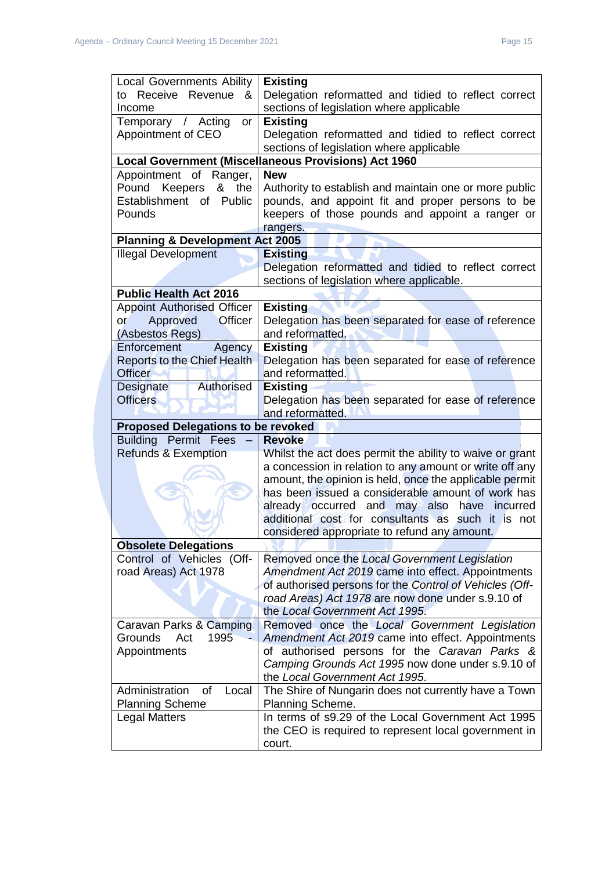| <b>Local Governments Ability</b>              | <b>Existing</b>                                                                                              |  |
|-----------------------------------------------|--------------------------------------------------------------------------------------------------------------|--|
| to Receive Revenue<br>&                       | Delegation reformatted and tidied to reflect correct                                                         |  |
| Income                                        | sections of legislation where applicable                                                                     |  |
| Temporary / Acting<br><b>or</b>               | <b>Existing</b>                                                                                              |  |
| Appointment of CEO                            | Delegation reformatted and tidied to reflect correct                                                         |  |
|                                               | sections of legislation where applicable                                                                     |  |
|                                               | <b>Local Government (Miscellaneous Provisions) Act 1960</b>                                                  |  |
| Appointment of<br>Ranger,                     | <b>New</b>                                                                                                   |  |
| Keepers<br>Pound<br>the<br>&                  | Authority to establish and maintain one or more public                                                       |  |
| Establishment of<br>Public                    | pounds, and appoint fit and proper persons to be                                                             |  |
| Pounds                                        | keepers of those pounds and appoint a ranger or                                                              |  |
|                                               | rangers.                                                                                                     |  |
| <b>Planning &amp; Development Act 2005</b>    |                                                                                                              |  |
| <b>Illegal Development</b>                    | <b>Existing</b>                                                                                              |  |
|                                               | Delegation reformatted and tidied to reflect correct                                                         |  |
|                                               | sections of legislation where applicable.                                                                    |  |
| <b>Public Health Act 2016</b>                 |                                                                                                              |  |
| <b>Appoint Authorised Officer</b>             | <b>Existing</b>                                                                                              |  |
| <b>Officer</b><br>Approved<br>or              | Delegation has been separated for ease of reference                                                          |  |
| (Asbestos Regs)                               | and reformatted.                                                                                             |  |
| Enforcement<br>Agency                         | <b>Existing</b>                                                                                              |  |
| Reports to the Chief Health<br><b>Officer</b> | Delegation has been separated for ease of reference<br>and reformatted.                                      |  |
| Authorised<br>Designate                       | <b>Existing</b>                                                                                              |  |
| <b>Officers</b>                               | Delegation has been separated for ease of reference                                                          |  |
|                                               | and reformatted.                                                                                             |  |
|                                               |                                                                                                              |  |
|                                               |                                                                                                              |  |
| <b>Proposed Delegations to be revoked</b>     |                                                                                                              |  |
| <b>Building Permit Fees</b>                   | <b>Revoke</b>                                                                                                |  |
| <b>Refunds &amp; Exemption</b>                | Whilst the act does permit the ability to waive or grant                                                     |  |
|                                               | a concession in relation to any amount or write off any                                                      |  |
|                                               | amount, the opinion is held, once the applicable permit<br>has been issued a considerable amount of work has |  |
|                                               | already occurred and may also have incurred                                                                  |  |
|                                               | additional cost for consultants as such it is not                                                            |  |
|                                               | considered appropriate to refund any amount.                                                                 |  |
| <b>Obsolete Delegations</b>                   |                                                                                                              |  |
| Control of Vehicles (Off-                     | Removed once the Local Government Legislation                                                                |  |
| road Areas) Act 1978                          | Amendment Act 2019 came into effect. Appointments                                                            |  |
|                                               | of authorised persons for the Control of Vehicles (Off-                                                      |  |
|                                               | road Areas) Act 1978 are now done under s.9.10 of                                                            |  |
|                                               | the Local Government Act 1995.                                                                               |  |
| Caravan Parks & Camping                       | Removed once the Local Government Legislation                                                                |  |
| 1995<br><b>Grounds</b><br>Act                 | Amendment Act 2019 came into effect. Appointments                                                            |  |
| Appointments                                  | of authorised persons for the Caravan Parks &                                                                |  |
|                                               | Camping Grounds Act 1995 now done under s.9.10 of                                                            |  |
|                                               | the Local Government Act 1995.                                                                               |  |
| Administration<br>Local<br>οf                 | The Shire of Nungarin does not currently have a Town                                                         |  |
| <b>Planning Scheme</b>                        | Planning Scheme.                                                                                             |  |
| <b>Legal Matters</b>                          | In terms of s9.29 of the Local Government Act 1995                                                           |  |
|                                               | the CEO is required to represent local government in<br>court.                                               |  |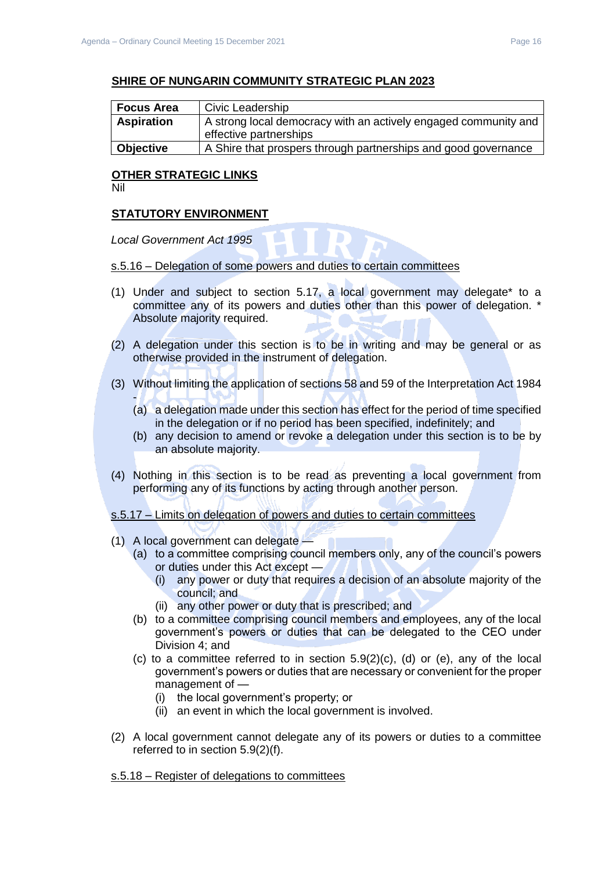# **SHIRE OF NUNGARIN COMMUNITY STRATEGIC PLAN 2023**

| <b>Focus Area</b> | Civic Leadership                                                |  |
|-------------------|-----------------------------------------------------------------|--|
| <b>Aspiration</b> | A strong local democracy with an actively engaged community and |  |
|                   | effective partnerships                                          |  |
| <b>Objective</b>  | A Shire that prospers through partnerships and good governance  |  |

# **OTHER STRATEGIC LINKS**

Nil

## **STATUTORY ENVIRONMENT**

*Local Government Act 1995* 

## s.5.16 – Delegation of some powers and duties to certain committees

- (1) Under and subject to section 5.17, a local government may delegate\* to a committee any of its powers and duties other than this power of delegation. \* Absolute majority required.
- (2) A delegation under this section is to be in writing and may be general or as otherwise provided in the instrument of delegation.
- (3) Without limiting the application of sections 58 and 59 of the Interpretation Act 1984
	- (a) a delegation made under this section has effect for the period of time specified in the delegation or if no period has been specified, indefinitely; and
	- (b) any decision to amend or revoke a delegation under this section is to be by an absolute majority.
- (4) Nothing in this section is to be read as preventing a local government from performing any of its functions by acting through another person.

s.5.17 – Limits on delegation of powers and duties to certain committees

- (1) A local government can delegate
	- (a) to a committee comprising council members only, any of the council's powers or duties under this Act except —
		- (i) any power or duty that requires a decision of an absolute majority of the council; and
		- (ii) any other power or duty that is prescribed; and
	- (b) to a committee comprising council members and employees, any of the local government's powers or duties that can be delegated to the CEO under Division 4; and
	- (c) to a committee referred to in section 5.9(2)(c), (d) or (e), any of the local government's powers or duties that are necessary or convenient for the proper management of —
		- (i) the local government's property; or
		- (ii) an event in which the local government is involved.
- (2) A local government cannot delegate any of its powers or duties to a committee referred to in section 5.9(2)(f).

#### s.5.18 – Register of delegations to committees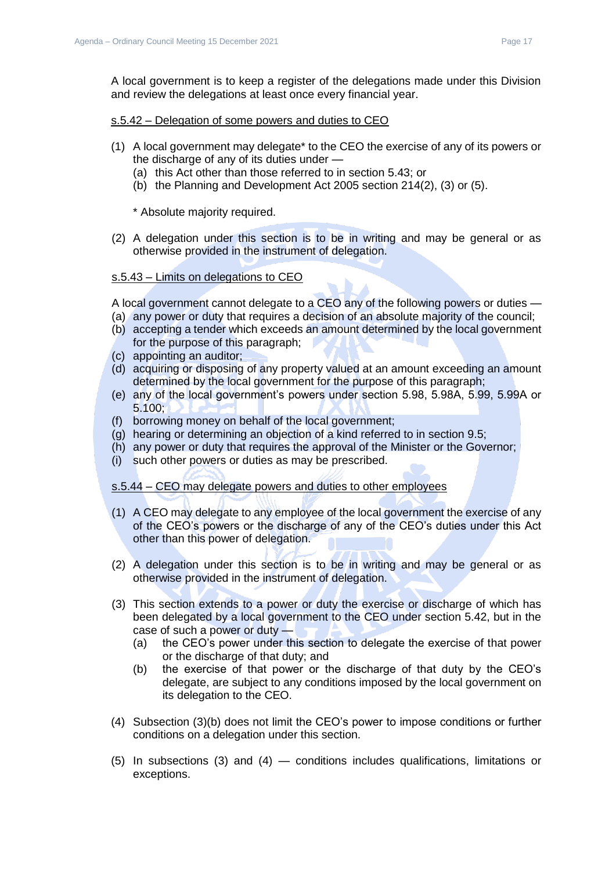A local government is to keep a register of the delegations made under this Division and review the delegations at least once every financial year.

## s.5.42 – Delegation of some powers and duties to CEO

- (1) A local government may delegate\* to the CEO the exercise of any of its powers or the discharge of any of its duties under —
	- (a) this Act other than those referred to in section 5.43; or
	- (b) the Planning and Development Act 2005 section 214(2), (3) or (5).

\* Absolute majority required.

(2) A delegation under this section is to be in writing and may be general or as otherwise provided in the instrument of delegation.

# s.5.43 – Limits on delegations to CEO

A local government cannot delegate to a CEO any of the following powers or duties —

- (a) any power or duty that requires a decision of an absolute majority of the council;
- (b) accepting a tender which exceeds an amount determined by the local government for the purpose of this paragraph;
- (c) appointing an auditor;
- (d) acquiring or disposing of any property valued at an amount exceeding an amount determined by the local government for the purpose of this paragraph;
- (e) any of the local government's powers under section 5.98, 5.98A, 5.99, 5.99A or 5.100;
- (f) borrowing money on behalf of the local government;
- (g) hearing or determining an objection of a kind referred to in section 9.5;
- (h) any power or duty that requires the approval of the Minister or the Governor;
- (i) such other powers or duties as may be prescribed.

#### s.5.44 – CEO may delegate powers and duties to other employees

- (1) A CEO may delegate to any employee of the local government the exercise of any of the CEO's powers or the discharge of any of the CEO's duties under this Act other than this power of delegation.
- (2) A delegation under this section is to be in writing and may be general or as otherwise provided in the instrument of delegation.
- (3) This section extends to a power or duty the exercise or discharge of which has been delegated by a local government to the CEO under section 5.42, but in the case of such a power or duty —
	- (a) the CEO's power under this section to delegate the exercise of that power or the discharge of that duty; and
	- (b) the exercise of that power or the discharge of that duty by the CEO's delegate, are subject to any conditions imposed by the local government on its delegation to the CEO.
- (4) Subsection (3)(b) does not limit the CEO's power to impose conditions or further conditions on a delegation under this section.
- (5) In subsections (3) and (4) conditions includes qualifications, limitations or exceptions.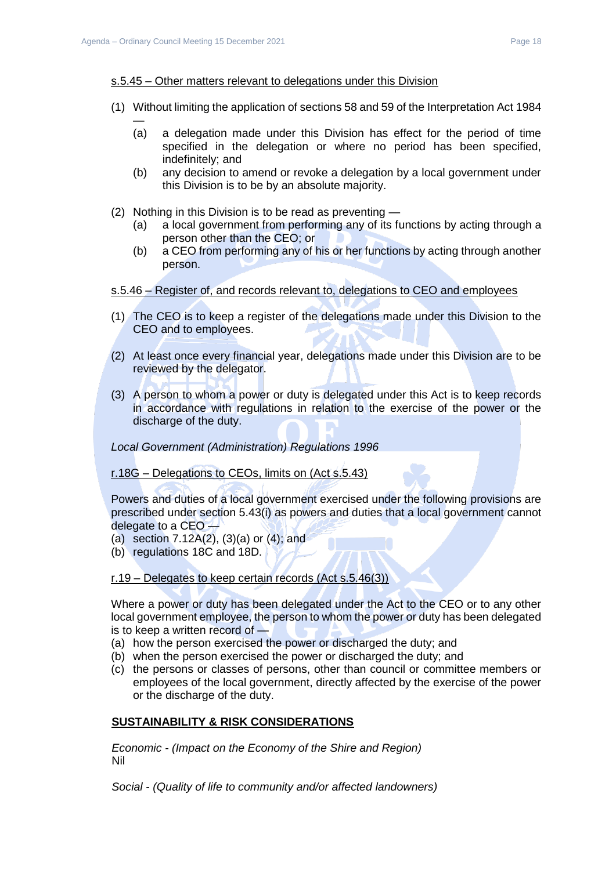#### s.5.45 – Other matters relevant to delegations under this Division

- (1) Without limiting the application of sections 58 and 59 of the Interpretation Act 1984
	- (a) a delegation made under this Division has effect for the period of time specified in the delegation or where no period has been specified, indefinitely; and
	- (b) any decision to amend or revoke a delegation by a local government under this Division is to be by an absolute majority.
- (2) Nothing in this Division is to be read as preventing
	- (a) a local government from performing any of its functions by acting through a person other than the CEO; or
	- (b) a CEO from performing any of his or her functions by acting through another person.

## s.5.46 – Register of, and records relevant to, delegations to CEO and employees

- (1) The CEO is to keep a register of the delegations made under this Division to the CEO and to employees.
- (2) At least once every financial year, delegations made under this Division are to be reviewed by the delegator.
- (3) A person to whom a power or duty is delegated under this Act is to keep records in accordance with regulations in relation to the exercise of the power or the discharge of the duty.

*Local Government (Administration) Regulations 1996* 

r.18G – Delegations to CEOs, limits on (Act s.5.43)

Powers and duties of a local government exercised under the following provisions are prescribed under section 5.43(i) as powers and duties that a local government cannot delegate to a CEO —

- (a) section 7.12A(2), (3)(a) or (4); and
- (b) regulations 18C and 18D.

r.19 – Delegates to keep certain records (Act s.5.46(3))

Where a power or duty has been delegated under the Act to the CEO or to any other local government employee, the person to whom the power or duty has been delegated is to keep a written record of —

- (a) how the person exercised the power or discharged the duty; and
- (b) when the person exercised the power or discharged the duty; and
- (c) the persons or classes of persons, other than council or committee members or employees of the local government, directly affected by the exercise of the power or the discharge of the duty.

# **SUSTAINABILITY & RISK CONSIDERATIONS**

*Economic - (Impact on the Economy of the Shire and Region)* Nil

*Social - (Quality of life to community and/or affected landowners)*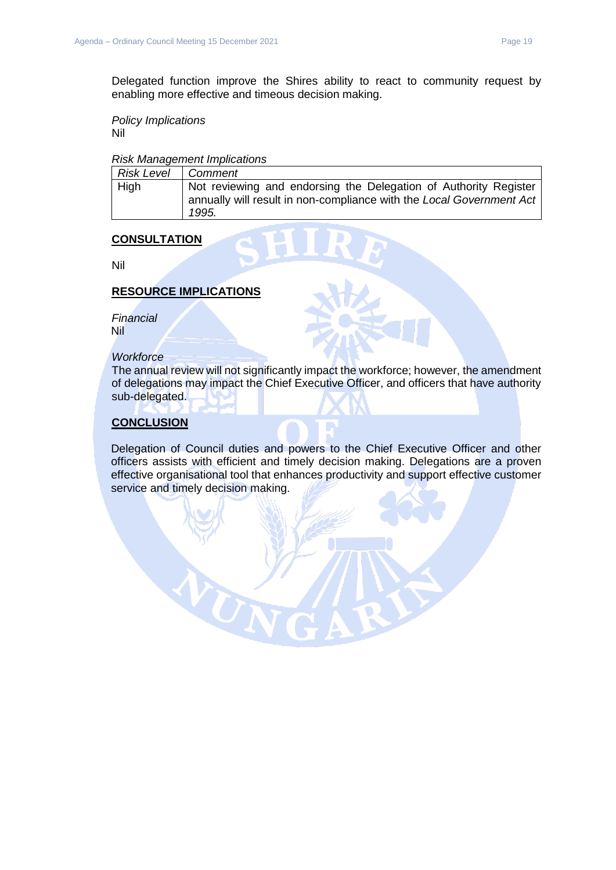Delegated function improve the Shires ability to react to community request by enabling more effective and timeous decision making.

*Policy Implications* Nil

#### *Risk Management Implications*

| Risk Level | Comment                                                                                                                                           |
|------------|---------------------------------------------------------------------------------------------------------------------------------------------------|
| High       | Not reviewing and endorsing the Delegation of Authority Register<br>annually will result in non-compliance with the Local Government Act<br>1995. |

# **CONSULTATION**

Nil

# **RESOURCE IMPLICATIONS**

*Financial* Nil

# *Workforce*

The annual review will not significantly impact the workforce; however, the amendment of delegations may impact the Chief Executive Officer, and officers that have authority sub-delegated.

# **CONCLUSION**

Delegation of Council duties and powers to the Chief Executive Officer and other officers assists with efficient and timely decision making. Delegations are a proven effective organisational tool that enhances productivity and support effective customer service and timely decision making.

UN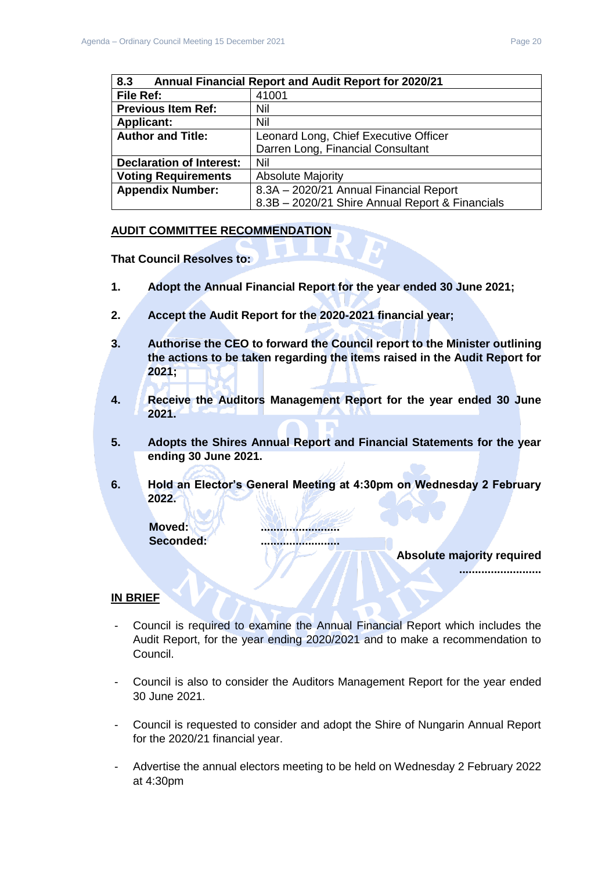<span id="page-19-0"></span>

| 8.3<br><b>Annual Financial Report and Audit Report for 2020/21</b> |                                                 |
|--------------------------------------------------------------------|-------------------------------------------------|
| File Ref:                                                          | 41001                                           |
| <b>Previous Item Ref:</b>                                          | Nil                                             |
| <b>Applicant:</b>                                                  | Nil                                             |
| <b>Author and Title:</b>                                           | Leonard Long, Chief Executive Officer           |
|                                                                    | Darren Long, Financial Consultant               |
| <b>Declaration of Interest:</b>                                    | Nil                                             |
| <b>Voting Requirements</b>                                         | <b>Absolute Majority</b>                        |
| <b>Appendix Number:</b>                                            | 8.3A - 2020/21 Annual Financial Report          |
|                                                                    | 8.3B - 2020/21 Shire Annual Report & Financials |

#### **AUDIT COMMITTEE RECOMMENDATION**

**That Council Resolves to:**

- **1. Adopt the Annual Financial Report for the year ended 30 June 2021;**
- **2. Accept the Audit Report for the 2020-2021 financial year;**
- **3. Authorise the CEO to forward the Council report to the Minister outlining the actions to be taken regarding the items raised in the Audit Report for 2021;**
- **4. Receive the Auditors Management Report for the year ended 30 June 2021.**
- **5. Adopts the Shires Annual Report and Financial Statements for the year ending 30 June 2021.**
- **6. Hold an Elector's General Meeting at 4:30pm on Wednesday 2 February 2022.**

**Moved: ......................... Seconded: .........................**

**Absolute majority required**

**..........................**

# **IN BRIEF**

- Council is required to examine the Annual Financial Report which includes the Audit Report, for the year ending 2020/2021 and to make a recommendation to Council.
- Council is also to consider the Auditors Management Report for the year ended 30 June 2021.
- Council is requested to consider and adopt the Shire of Nungarin Annual Report for the 2020/21 financial year.
- Advertise the annual electors meeting to be held on Wednesday 2 February 2022 at 4:30pm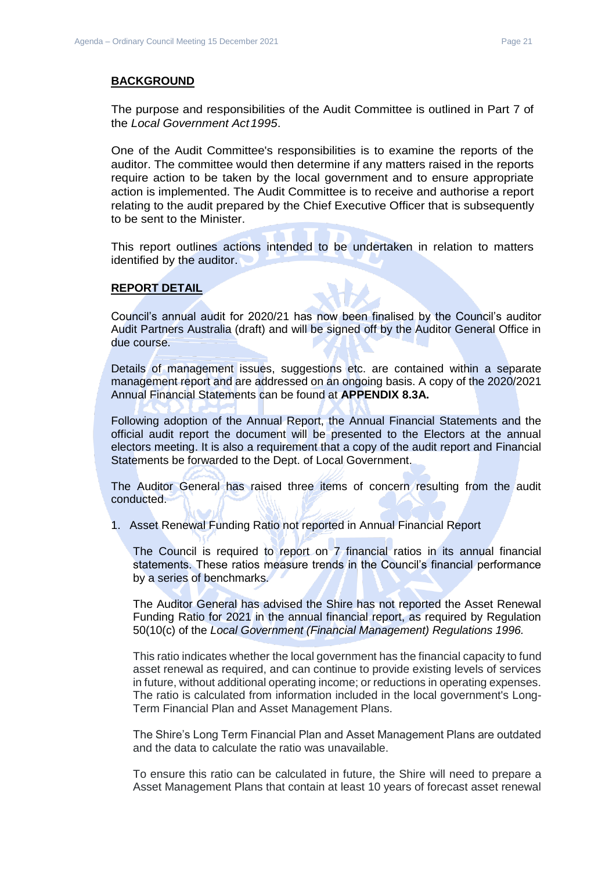#### **BACKGROUND**

The purpose and responsibilities of the Audit Committee is outlined in Part 7 of the *Local Government Act1995*.

One of the Audit Committee's responsibilities is to examine the reports of the auditor. The committee would then determine if any matters raised in the reports require action to be taken by the local government and to ensure appropriate action is implemented. The Audit Committee is to receive and authorise a report relating to the audit prepared by the Chief Executive Officer that is subsequently to be sent to the Minister.

This report outlines actions intended to be undertaken in relation to matters identified by the auditor.

#### **REPORT DETAIL**

Council's annual audit for 2020/21 has now been finalised by the Council's auditor Audit Partners Australia (draft) and will be signed off by the Auditor General Office in due course.

Details of management issues, suggestions etc. are contained within a separate management report and are addressed on an ongoing basis. A copy of the 2020/2021 Annual Financial Statements can be found at **APPENDIX 8.3A.**

Following adoption of the Annual Report, the Annual Financial Statements and the official audit report the document will be presented to the Electors at the annual electors meeting. It is also a requirement that a copy of the audit report and Financial Statements be forwarded to the Dept. of Local Government.

The Auditor General has raised three items of concern resulting from the audit conducted.

1. Asset Renewal Funding Ratio not reported in Annual Financial Report

The Council is required to report on 7 financial ratios in its annual financial statements. These ratios measure trends in the Council's financial performance by a series of benchmarks.

The Auditor General has advised the Shire has not reported the Asset Renewal Funding Ratio for 2021 in the annual financial report, as required by Regulation 50(10(c) of the *Local Government (Financial Management) Regulations 1996.*

This ratio indicates whether the local government has the financial capacity to fund asset renewal as required, and can continue to provide existing levels of services in future, without additional operating income; or reductions in operating expenses. The ratio is calculated from information included in the local government's Long-Term Financial Plan and Asset Management Plans.

The Shire's Long Term Financial Plan and Asset Management Plans are outdated and the data to calculate the ratio was unavailable.

To ensure this ratio can be calculated in future, the Shire will need to prepare a Asset Management Plans that contain at least 10 years of forecast asset renewal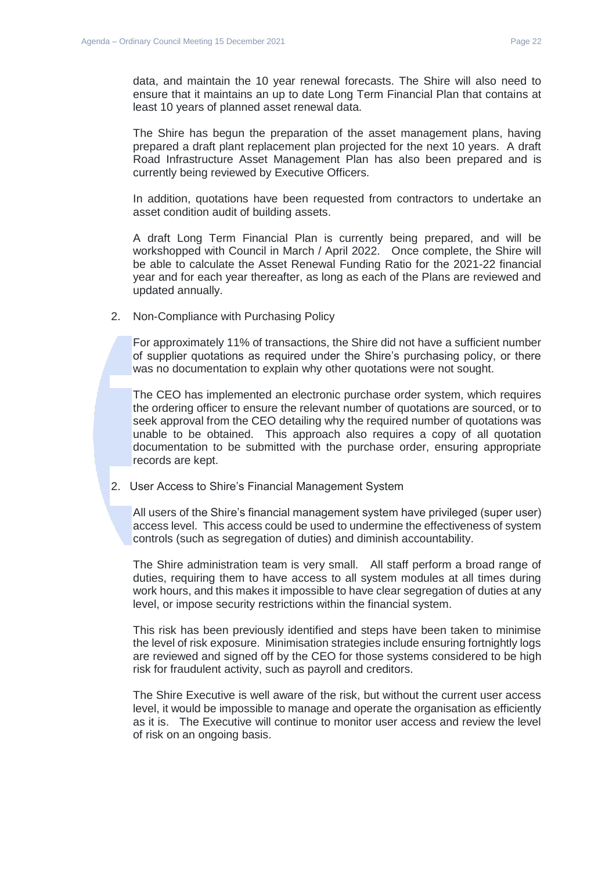data, and maintain the 10 year renewal forecasts. The Shire will also need to ensure that it maintains an up to date Long Term Financial Plan that contains at least 10 years of planned asset renewal data.

The Shire has begun the preparation of the asset management plans, having prepared a draft plant replacement plan projected for the next 10 years. A draft Road Infrastructure Asset Management Plan has also been prepared and is currently being reviewed by Executive Officers.

In addition, quotations have been requested from contractors to undertake an asset condition audit of building assets.

A draft Long Term Financial Plan is currently being prepared, and will be workshopped with Council in March / April 2022. Once complete, the Shire will be able to calculate the Asset Renewal Funding Ratio for the 2021-22 financial year and for each year thereafter, as long as each of the Plans are reviewed and updated annually.

2. Non-Compliance with Purchasing Policy

For approximately 11% of transactions, the Shire did not have a sufficient number of supplier quotations as required under the Shire's purchasing policy, or there was no documentation to explain why other quotations were not sought.

The CEO has implemented an electronic purchase order system, which requires the ordering officer to ensure the relevant number of quotations are sourced, or to seek approval from the CEO detailing why the required number of quotations was unable to be obtained. This approach also requires a copy of all quotation documentation to be submitted with the purchase order, ensuring appropriate records are kept.

2. User Access to Shire's Financial Management System

All users of the Shire's financial management system have privileged (super user) access level. This access could be used to undermine the effectiveness of system controls (such as segregation of duties) and diminish accountability.

The Shire administration team is very small. All staff perform a broad range of duties, requiring them to have access to all system modules at all times during work hours, and this makes it impossible to have clear segregation of duties at any level, or impose security restrictions within the financial system.

This risk has been previously identified and steps have been taken to minimise the level of risk exposure. Minimisation strategies include ensuring fortnightly logs are reviewed and signed off by the CEO for those systems considered to be high risk for fraudulent activity, such as payroll and creditors.

The Shire Executive is well aware of the risk, but without the current user access level, it would be impossible to manage and operate the organisation as efficiently as it is. The Executive will continue to monitor user access and review the level of risk on an ongoing basis.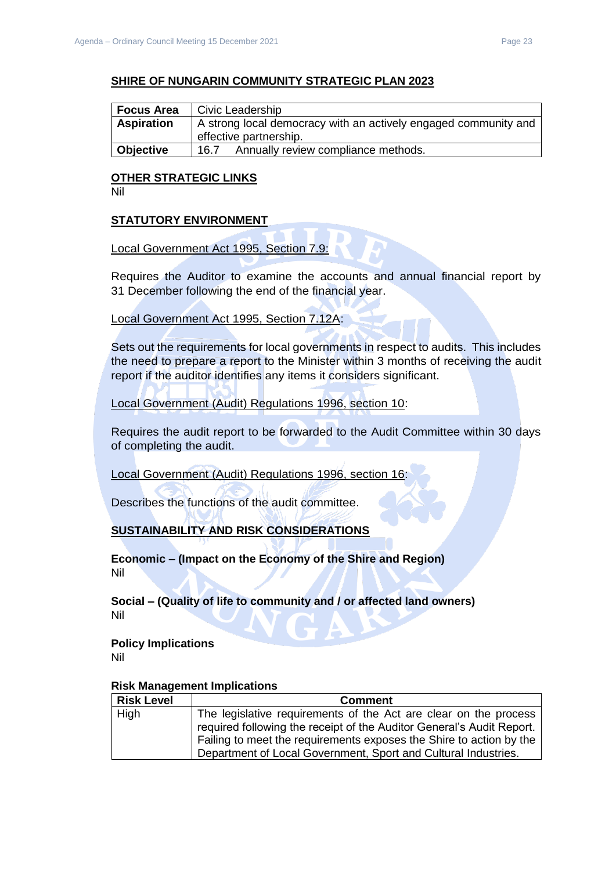## **SHIRE OF NUNGARIN COMMUNITY STRATEGIC PLAN 2023**

| <b>Focus Area</b> | Civic Leadership                                                |  |
|-------------------|-----------------------------------------------------------------|--|
| <b>Aspiration</b> | A strong local democracy with an actively engaged community and |  |
|                   | effective partnership.                                          |  |
| <b>Objective</b>  | Annually review compliance methods.<br>16.7                     |  |

# **OTHER STRATEGIC LINKS**

Nil

# **STATUTORY ENVIRONMENT**

# Local Government Act 1995, Section 7.9:

Requires the Auditor to examine the accounts and annual financial report by 31 December following the end of the financial year.

## Local Government Act 1995, Section 7.12A:

Sets out the requirements for local governments in respect to audits. This includes the need to prepare a report to the Minister within 3 months of receiving the audit report if the auditor identifies any items it considers significant.

# Local Government (Audit) Regulations 1996, section 10:

Requires the audit report to be forwarded to the Audit Committee within 30 days of completing the audit.

Local Government (Audit) Regulations 1996, section 16:

Describes the functions of the audit committee.

# **SUSTAINABILITY AND RISK CONSIDERATIONS**

**Economic – (Impact on the Economy of the Shire and Region)** Nil

**Social – (Quality of life to community and / or affected land owners)** Nil

#### **Policy Implications** Nil

| <b>Risk Level</b> | <b>Comment</b>                                                        |
|-------------------|-----------------------------------------------------------------------|
| High              | The legislative requirements of the Act are clear on the process      |
|                   | required following the receipt of the Auditor General's Audit Report. |
|                   | Failing to meet the requirements exposes the Shire to action by the   |
|                   | Department of Local Government, Sport and Cultural Industries.        |

## **Risk Management Implications**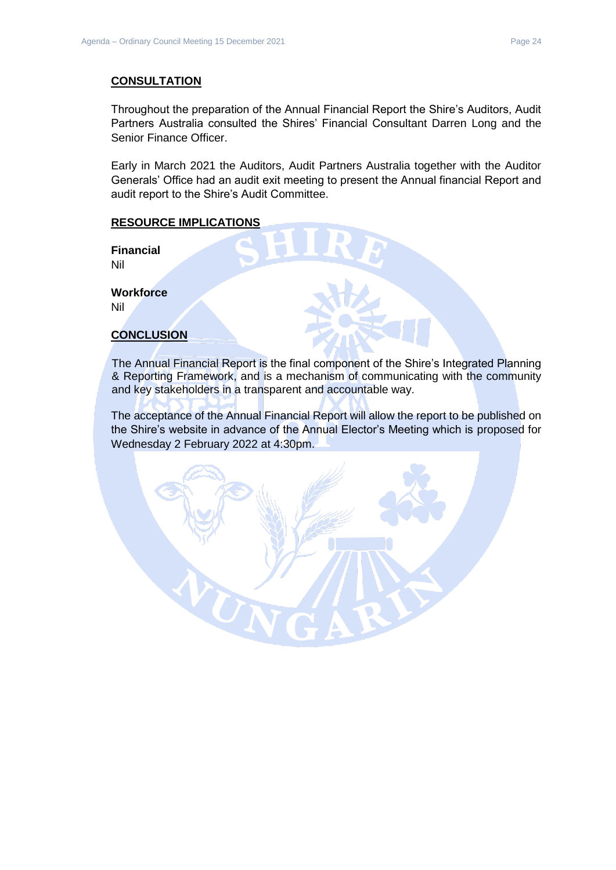# **CONSULTATION**

Throughout the preparation of the Annual Financial Report the Shire's Auditors, Audit Partners Australia consulted the Shires' Financial Consultant Darren Long and the Senior Finance Officer.

Early in March 2021 the Auditors, Audit Partners Australia together with the Auditor Generals' Office had an audit exit meeting to present the Annual financial Report and audit report to the Shire's Audit Committee.

# **RESOURCE IMPLICATIONS**

**Financial** Nil

**Workforce** Nil

# **CONCLUSION**

The Annual Financial Report is the final component of the Shire's Integrated Planning & Reporting Framework, and is a mechanism of communicating with the community and key stakeholders in a transparent and accountable way.

The acceptance of the Annual Financial Report will allow the report to be published on the Shire's website in advance of the Annual Elector's Meeting which is proposed for Wednesday 2 February 2022 at 4:30pm.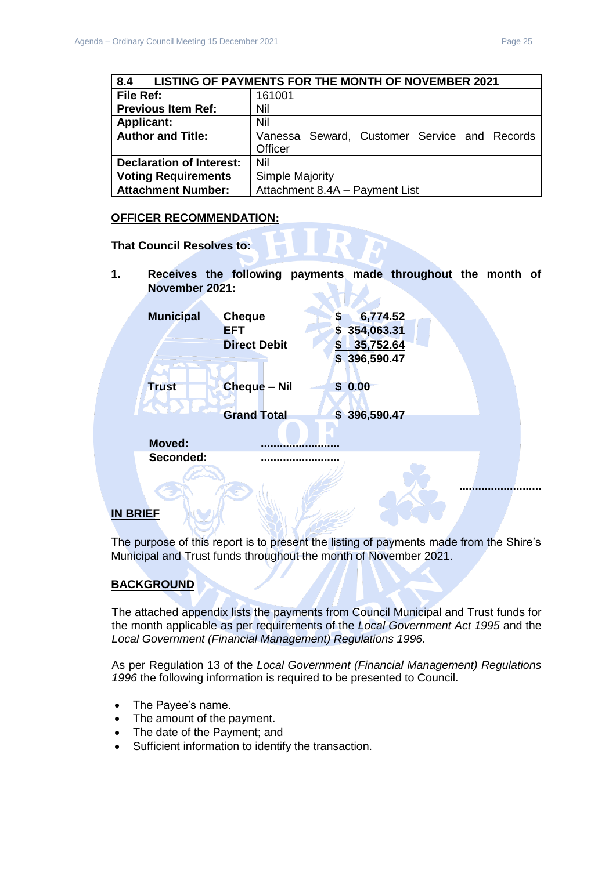<span id="page-24-0"></span>

| 8.4                             | <b>LISTING OF PAYMENTS FOR THE MONTH OF NOVEMBER 2021</b> |
|---------------------------------|-----------------------------------------------------------|
| File Ref:                       | 161001                                                    |
| <b>Previous Item Ref:</b>       | Nil                                                       |
| <b>Applicant:</b>               | Nil                                                       |
| <b>Author and Title:</b>        | Vanessa Seward, Customer Service and Records<br>Officer   |
|                                 |                                                           |
| <b>Declaration of Interest:</b> | Nil                                                       |
| <b>Voting Requirements</b>      | <b>Simple Majority</b>                                    |

# **OFFICER RECOMMENDATION:**

**Attachment Number:** Attachment 8.4A – Payment List

**That Council Resolves to:**

**1. Receives the following payments made throughout the month of November 2021:**

| <b>Municipal</b> | <b>Cheque</b><br>6,774.52<br>S             |  |
|------------------|--------------------------------------------|--|
|                  | 354,063.31<br><b>EFT</b><br>$\mathsf{S}^-$ |  |
|                  | 35,752.64<br><b>Direct Debit</b><br>S      |  |
|                  | \$396,590.47                               |  |
| <b>Trust</b>     | <b>Cheque - Nil</b><br>\$0.00              |  |
|                  |                                            |  |
|                  | <b>Grand Total</b><br>\$396,590.47         |  |
| <b>Moved:</b>    |                                            |  |
|                  |                                            |  |
| Seconded:        |                                            |  |
|                  |                                            |  |
|                  |                                            |  |
|                  |                                            |  |

# **IN BRIEF**

The purpose of this report is to present the listing of payments made from the Shire's Municipal and Trust funds throughout the month of November 2021.

# **BACKGROUND**

The attached appendix lists the payments from Council Municipal and Trust funds for the month applicable as per requirements of the *Local Government Act 1995* and the *Local Government (Financial Management) Regulations 1996*.

As per Regulation 13 of the *Local Government (Financial Management) Regulations 1996* the following information is required to be presented to Council.

- The Payee's name.
- The amount of the payment.
- The date of the Payment; and
- Sufficient information to identify the transaction.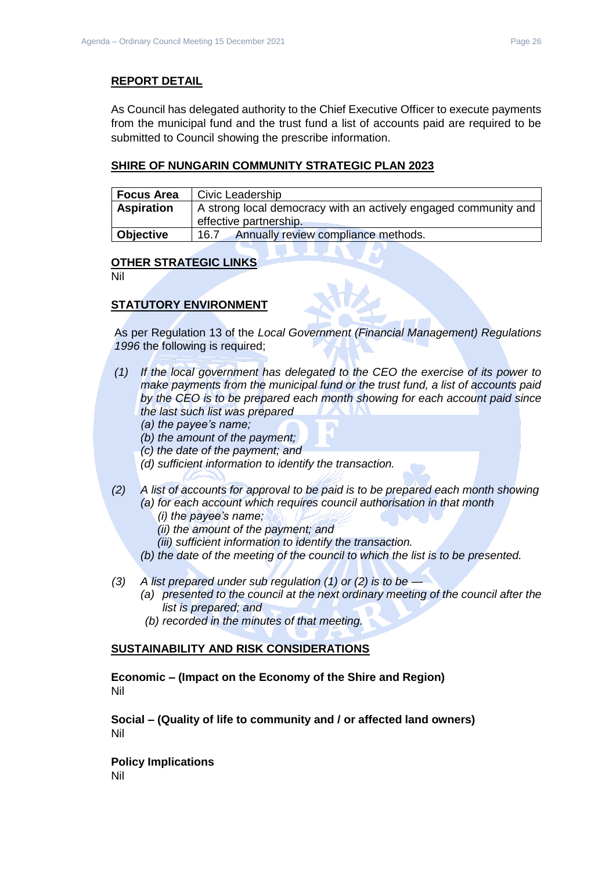# **REPORT DETAIL**

As Council has delegated authority to the Chief Executive Officer to execute payments from the municipal fund and the trust fund a list of accounts paid are required to be submitted to Council showing the prescribe information.

# **SHIRE OF NUNGARIN COMMUNITY STRATEGIC PLAN 2023**

| <b>Focus Area</b> | Civic Leadership                                                                          |
|-------------------|-------------------------------------------------------------------------------------------|
| <b>Aspiration</b> | A strong local democracy with an actively engaged community and<br>effective partnership. |
| Objective         | Annually review compliance methods.<br>16.7                                               |

## **OTHER STRATEGIC LINKS**

Nil

# **STATUTORY ENVIRONMENT**

As per Regulation 13 of the *Local Government (Financial Management) Regulations 1996* the following is required;

- *(1) If the local government has delegated to the CEO the exercise of its power to make payments from the municipal fund or the trust fund, a list of accounts paid by the CEO is to be prepared each month showing for each account paid since the last such list was prepared* 
	- *(a) the payee's name;*
	- *(b) the amount of the payment;*
	- *(c) the date of the payment; and*
	- *(d) sufficient information to identify the transaction.*
- *(2) A list of accounts for approval to be paid is to be prepared each month showing (a) for each account which requires council authorisation in that month* 
	- *(i) the payee's name;*
	- *(ii) the amount of the payment; and*
	- *(iii) sufficient information to identify the transaction.*
	- *(b) the date of the meeting of the council to which the list is to be presented.*
- *(3) A list prepared under sub regulation (1) or (2) is to be —*
	- *(a) presented to the council at the next ordinary meeting of the council after the list is prepared; and*
	- *(b) recorded in the minutes of that meeting.*

#### **SUSTAINABILITY AND RISK CONSIDERATIONS**

**Economic – (Impact on the Economy of the Shire and Region)** Nil

**Social – (Quality of life to community and / or affected land owners)** Nil

**Policy Implications** Nil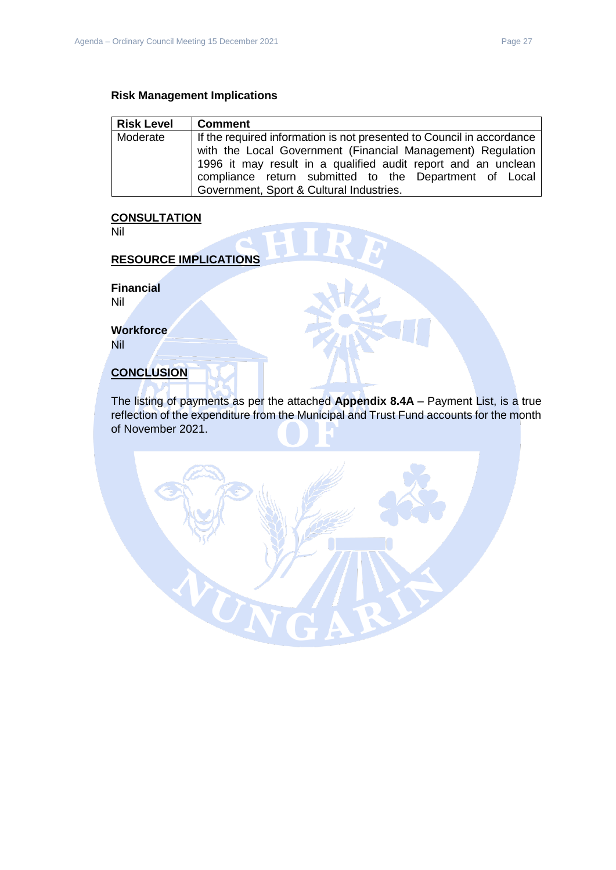| <b>Risk Level</b> | <b>Comment</b>                                                                                                               |
|-------------------|------------------------------------------------------------------------------------------------------------------------------|
| Moderate          | If the required information is not presented to Council in accordance                                                        |
|                   | with the Local Government (Financial Management) Regulation<br>1996 it may result in a qualified audit report and an unclean |
|                   | compliance return submitted to the Department of Local                                                                       |
|                   | Government, Sport & Cultural Industries.                                                                                     |

## **CONSULTATION**

Nil

# **RESOURCE IMPLICATIONS**

**Financial**

Nil

**Workforce** Nil

# **CONCLUSION**

The listing of payments as per the attached **Appendix 8.4A** – Payment List, is a true reflection of the expenditure from the Municipal and Trust Fund accounts for the month of November 2021.

 $\sigma_{\rm N}$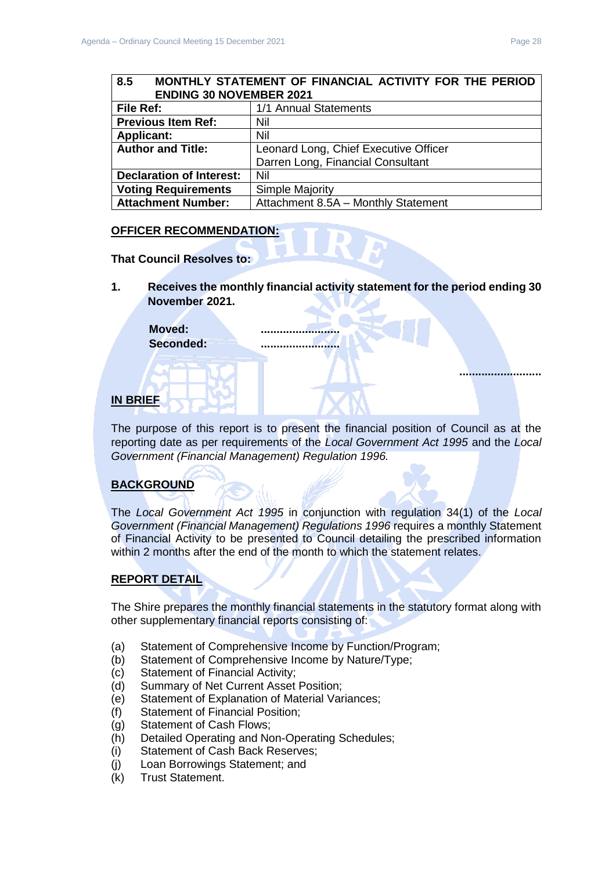# <span id="page-27-0"></span>**8.5 MONTHLY STATEMENT OF FINANCIAL ACTIVITY FOR THE PERIOD ENDING 30 NOVEMBER 2021**

| <b>File Ref:</b>                | 1/1 Annual Statements                 |
|---------------------------------|---------------------------------------|
| <b>Previous Item Ref:</b>       | Nil                                   |
| <b>Applicant:</b>               | Nil                                   |
| <b>Author and Title:</b>        | Leonard Long, Chief Executive Officer |
|                                 | Darren Long, Financial Consultant     |
| <b>Declaration of Interest:</b> | Nil                                   |
| <b>Voting Requirements</b>      | <b>Simple Majority</b>                |
| <b>Attachment Number:</b>       | Attachment 8.5A - Monthly Statement   |

# **OFFICER RECOMMENDATION:**

## **That Council Resolves to:**

**1. Receives the monthly financial activity statement for the period ending 30 November 2021.**

Moved: **Seconded: .........................**

# **IN BRIEF**

The purpose of this report is to present the financial position of Council as at the reporting date as per requirements of the *Local Government Act 1995* and the *Local Government (Financial Management) Regulation 1996.*

# **BACKGROUND**

The *Local Government Act 1995* in conjunction with regulation 34(1) of the *Local Government (Financial Management) Regulations 1996* requires a monthly Statement of Financial Activity to be presented to Council detailing the prescribed information within 2 months after the end of the month to which the statement relates.

# **REPORT DETAIL**

The Shire prepares the monthly financial statements in the statutory format along with other supplementary financial reports consisting of:

- (a) Statement of Comprehensive Income by Function/Program;
- (b) Statement of Comprehensive Income by Nature/Type;
- (c) Statement of Financial Activity;
- (d) Summary of Net Current Asset Position;
- (e) Statement of Explanation of Material Variances;
- (f) Statement of Financial Position;
- (g) Statement of Cash Flows;
- (h) Detailed Operating and Non-Operating Schedules;
- (i) Statement of Cash Back Reserves;
- (j) Loan Borrowings Statement; and
- (k) Trust Statement.

**..........................**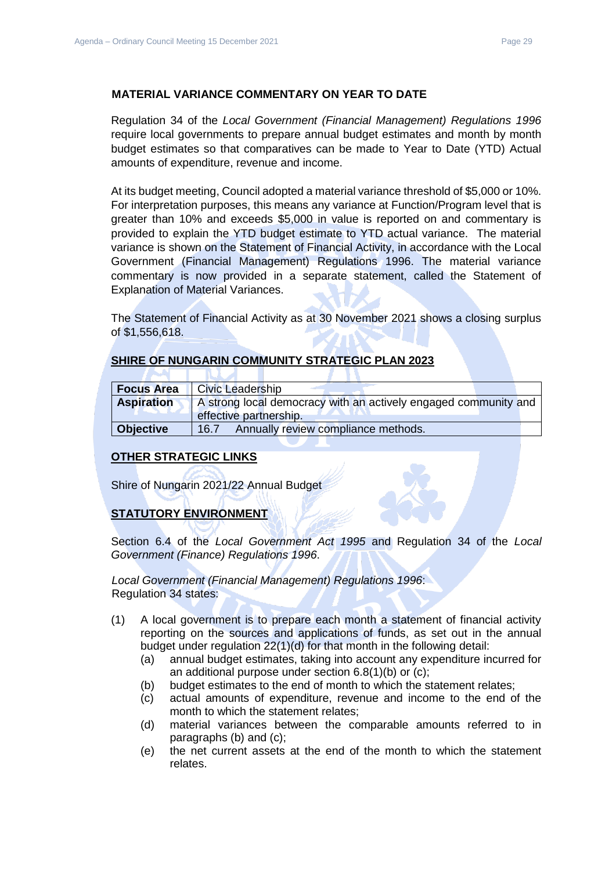## **MATERIAL VARIANCE COMMENTARY ON YEAR TO DATE**

Regulation 34 of the *Local Government (Financial Management) Regulations 1996*  require local governments to prepare annual budget estimates and month by month budget estimates so that comparatives can be made to Year to Date (YTD) Actual amounts of expenditure, revenue and income.

At its budget meeting, Council adopted a material variance threshold of \$5,000 or 10%. For interpretation purposes, this means any variance at Function/Program level that is greater than 10% and exceeds \$5,000 in value is reported on and commentary is provided to explain the YTD budget estimate to YTD actual variance. The material variance is shown on the Statement of Financial Activity, in accordance with the Local Government (Financial Management) Regulations 1996. The material variance commentary is now provided in a separate statement, called the Statement of Explanation of Material Variances.

The Statement of Financial Activity as at 30 November 2021 shows a closing surplus of \$1,556,618.

# **SHIRE OF NUNGARIN COMMUNITY STRATEGIC PLAN 2023**

×

| <b>Focus Area</b> | <b>Civic Leadership</b>                                                                   |  |
|-------------------|-------------------------------------------------------------------------------------------|--|
| <b>Aspiration</b> | A strong local democracy with an actively engaged community and<br>effective partnership. |  |
| <b>Objective</b>  | Annually review compliance methods.<br>16.7                                               |  |

# **OTHER STRATEGIC LINKS**

Shire of Nungarin 2021/22 Annual Budget

**NAME** 

# **STATUTORY ENVIRONMENT**

Section 6.4 of the *Local Government Act 1995* and Regulation 34 of the *Local Government (Finance) Regulations 1996*.

*Local Government (Financial Management) Regulations 1996*: Regulation 34 states:

- (1) A local government is to prepare each month a statement of financial activity reporting on the sources and applications of funds, as set out in the annual budget under regulation 22(1)(d) for that month in the following detail:
	- (a) annual budget estimates, taking into account any expenditure incurred for an additional purpose under section 6.8(1)(b) or (c);
	- (b) budget estimates to the end of month to which the statement relates;
	- (c) actual amounts of expenditure, revenue and income to the end of the month to which the statement relates;
	- (d) material variances between the comparable amounts referred to in paragraphs (b) and (c);
	- (e) the net current assets at the end of the month to which the statement relates.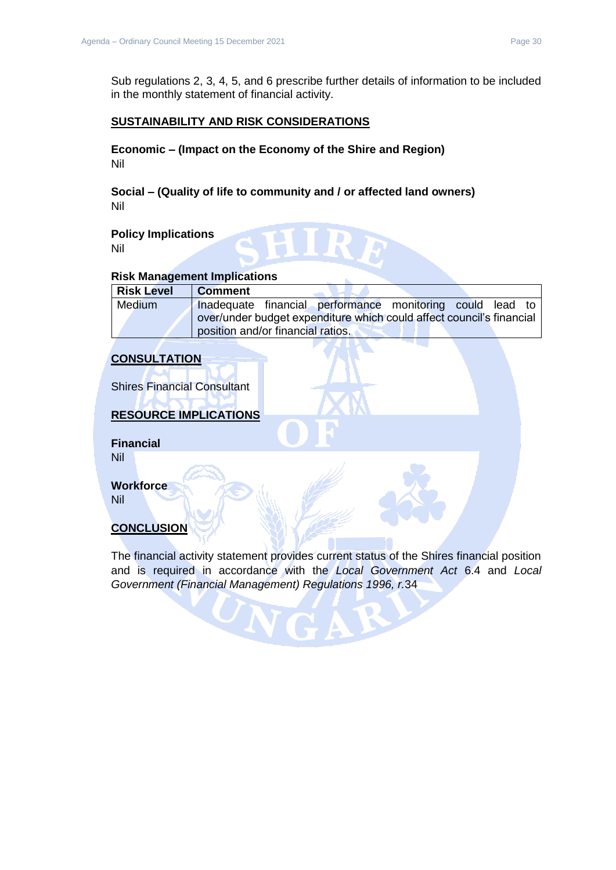Sub regulations 2, 3, 4, 5, and 6 prescribe further details of information to be included in the monthly statement of financial activity.

# **SUSTAINABILITY AND RISK CONSIDERATIONS**

**Economic – (Impact on the Economy of the Shire and Region)** Nil

**Social – (Quality of life to community and / or affected land owners)** Nil

**Policy Implications** Nil

## **Risk Management Implications**

| <b>Risk Level</b> | <b>Comment</b>                                                       |  |  |
|-------------------|----------------------------------------------------------------------|--|--|
| <b>Medium</b>     | Inadequate financial performance monitoring could lead to            |  |  |
|                   | over/under budget expenditure which could affect council's financial |  |  |
|                   | position and/or financial ratios.                                    |  |  |

# **CONSULTATION**

Shires Financial Consultant

# **RESOURCE IMPLICATIONS**

**Financial** Nil

**Workforce**

Nil

# **CONCLUSION**

The financial activity statement provides current status of the Shires financial position and is required in accordance with the *Local Government Act* 6.4 and *Local Government (Financial Management) Regulations 1996, r.*34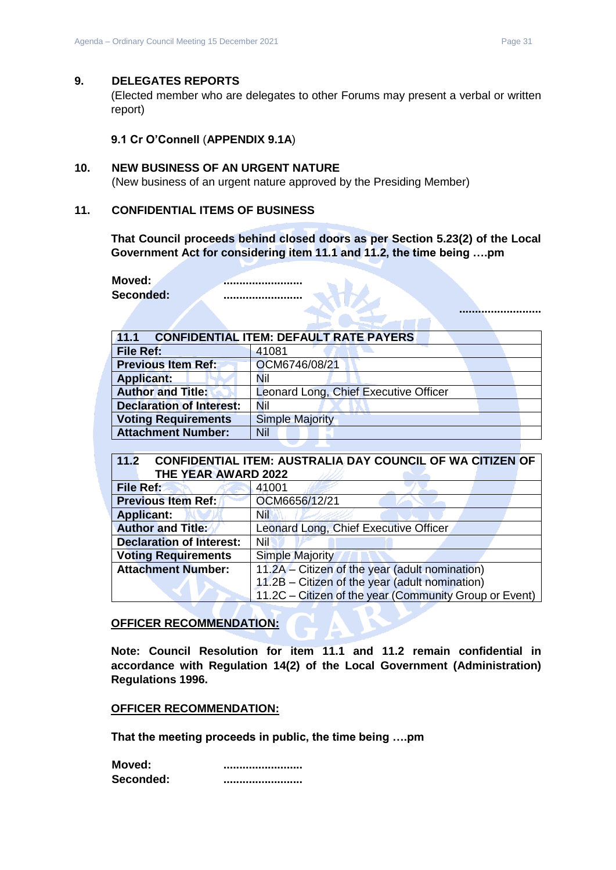#### <span id="page-30-0"></span>**9. DELEGATES REPORTS**

(Elected member who are delegates to other Forums may present a verbal or written report)

**9.1 Cr O'Connell** (**APPENDIX 9.1A**)

## <span id="page-30-2"></span><span id="page-30-1"></span>**10. NEW BUSINESS OF AN URGENT NATURE**

(New business of an urgent nature approved by the Presiding Member)

## <span id="page-30-3"></span>**11. CONFIDENTIAL ITEMS OF BUSINESS**

**That Council proceeds behind closed doors as per Section 5.23(2) of the Local Government Act for considering item 11.1 and 11.2, the time being ….pm** 

**Moved: 2008 Seconded: .........................**

<span id="page-30-4"></span>

| <b>CONFIDENTIAL ITEM: DEFAULT RATE PAYERS</b><br>11.1 |                                       |  |  |  |  |
|-------------------------------------------------------|---------------------------------------|--|--|--|--|
| File Ref:                                             | 41081                                 |  |  |  |  |
| <b>Previous Item Ref:</b>                             | OCM6746/08/21                         |  |  |  |  |
| <b>Applicant:</b>                                     | Nil                                   |  |  |  |  |
| <b>Author and Title:</b>                              | Leonard Long, Chief Executive Officer |  |  |  |  |
| <b>Declaration of Interest:</b>                       | Nil                                   |  |  |  |  |
| <b>Voting Requirements</b>                            | <b>Simple Majority</b>                |  |  |  |  |
| <b>Attachment Number:</b>                             | Nil                                   |  |  |  |  |

# <span id="page-30-5"></span>**11.2 CONFIDENTIAL ITEM: AUSTRALIA DAY COUNCIL OF WA CITIZEN OF THE YEAR AWARD 2022**

| File Ref:                       | 41001                                                  |
|---------------------------------|--------------------------------------------------------|
| <b>Previous Item Ref:</b>       | OCM6656/12/21                                          |
| <b>Applicant:</b>               | Nil                                                    |
| <b>Author and Title:</b>        | Leonard Long, Chief Executive Officer                  |
| <b>Declaration of Interest:</b> | Nil                                                    |
| <b>Voting Requirements</b>      | <b>Simple Majority</b>                                 |
| <b>Attachment Number:</b>       | 11.2A - Citizen of the year (adult nomination)         |
|                                 | 11.2B - Citizen of the year (adult nomination)         |
|                                 | 11.2C - Citizen of the year (Community Group or Event) |

#### **OFFICER RECOMMENDATION:**

**Note: Council Resolution for item 11.1 and 11.2 remain confidential in accordance with Regulation 14(2) of the Local Government (Administration) Regulations 1996.**

#### **OFFICER RECOMMENDATION:**

**That the meeting proceeds in public, the time being ….pm** 

| Moved:    |  |
|-----------|--|
| Seconded: |  |